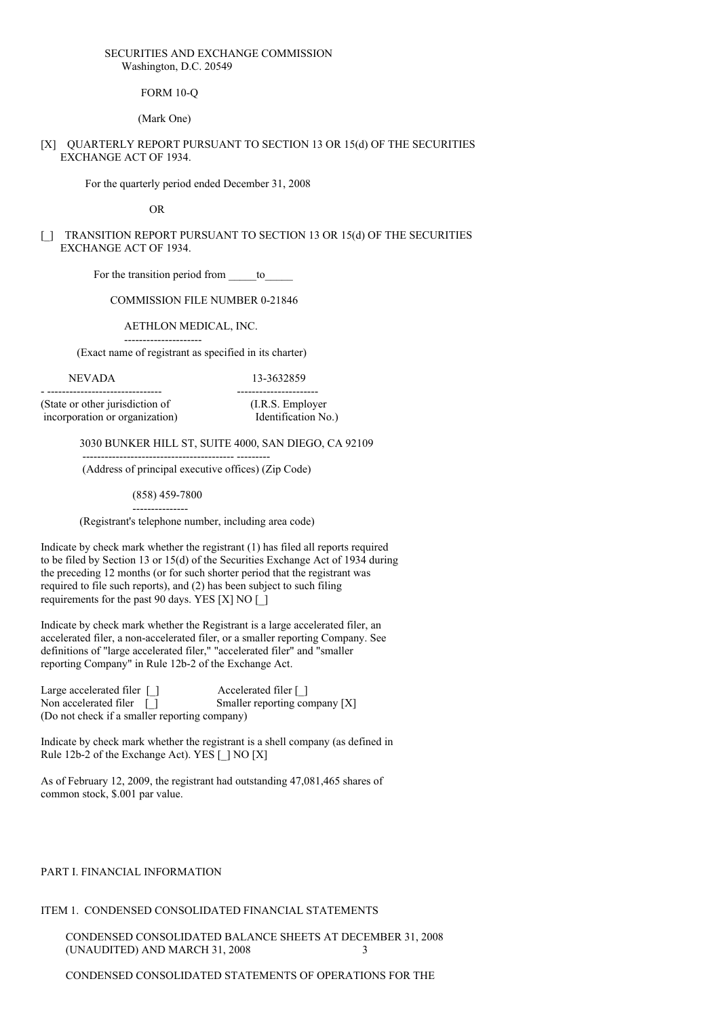### SECURITIES AND EXCHANGE COMMISSION Washington, D.C. 20549

FORM 10-Q

(Mark One)

### [X] QUARTERLY REPORT PURSUANT TO SECTION 13 OR 15(d) OF THE SECURITIES EXCHANGE ACT OF 1934.

For the quarterly period ended December 31, 2008

OR

## [] TRANSITION REPORT PURSUANT TO SECTION 13 OR 15(d) OF THE SECURITIES EXCHANGE ACT OF 1934.

For the transition period from to

COMMISSION FILE NUMBER 0-21846

### AETHLON MEDICAL, INC.

--------------------- (Exact name of registrant as specified in its charter)

# NEVADA 13-3632859

- ------------------------------- ---------------------- (State or other jurisdiction of (I.R.S. Employer incorporation or organization) Identification No.)

3030 BUNKER HILL ST, SUITE 4000, SAN DIEGO, CA 92109

(Address of principal executive offices) (Zip Code)

----------------------------------------- ---------

(858) 459-7800 ---------------

(Registrant's telephone number, including area code)

Indicate by check mark whether the registrant (1) has filed all reports required to be filed by Section 13 or 15(d) of the Securities Exchange Act of 1934 during the preceding 12 months (or for such shorter period that the registrant was required to file such reports), and (2) has been subject to such filing requirements for the past 90 days. YES [X] NO [\_]

Indicate by check mark whether the Registrant is a large accelerated filer, an accelerated filer, a non-accelerated filer, or a smaller reporting Company. See definitions of "large accelerated filer," "accelerated filer" and "smaller reporting Company" in Rule 12b-2 of the Exchange Act.

Large accelerated filer  $\Box$ <br>
Non accelerated filer  $\Box$ <br>
Smaller reporting co Smaller reporting company  $[X]$ (Do not check if a smaller reporting company)

Indicate by check mark whether the registrant is a shell company (as defined in Rule 12b-2 of the Exchange Act). YES [ ] NO [X]

As of February 12, 2009, the registrant had outstanding 47,081,465 shares of common stock, \$.001 par value.

### PART I. FINANCIAL INFORMATION

### ITEM 1. CONDENSED CONSOLIDATED FINANCIAL STATEMENTS

CONDENSED CONSOLIDATED BALANCE SHEETS AT DECEMBER 31, 2008 (UNAUDITED) AND MARCH 31, 2008 3

CONDENSED CONSOLIDATED STATEMENTS OF OPERATIONS FOR THE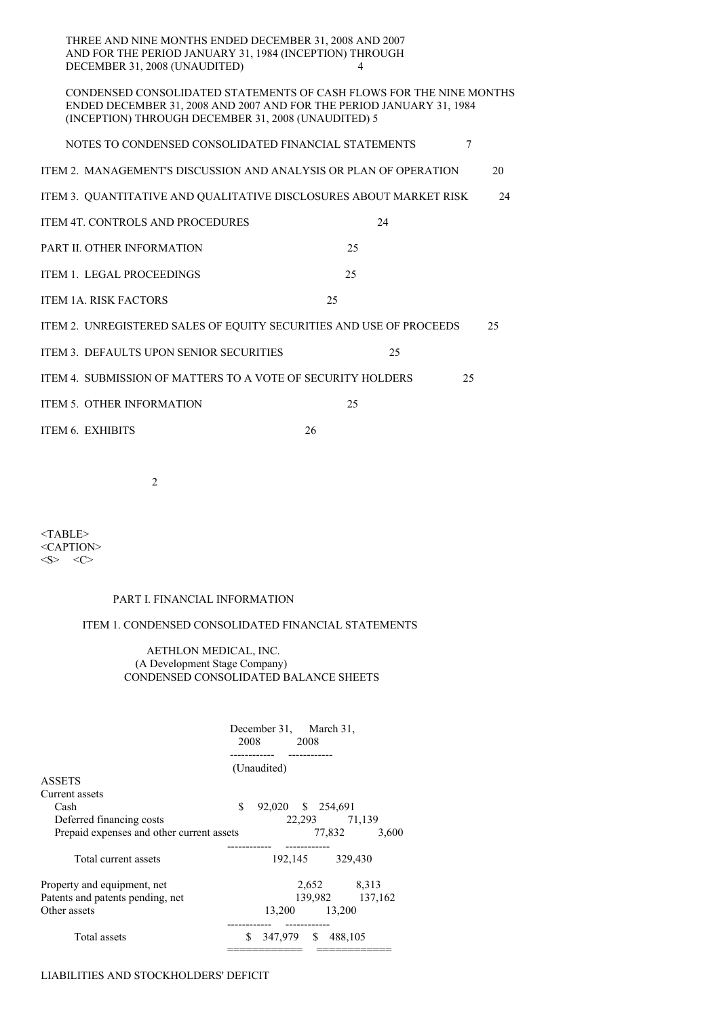| THREE AND NINE MONTHS ENDED DECEMBER 31, 2008 AND 2007  |  |
|---------------------------------------------------------|--|
| AND FOR THE PERIOD JANUARY 31, 1984 (INCEPTION) THROUGH |  |
| DECEMBER 31, 2008 (UNAUDITED)                           |  |

## CONDENSED CONSOLIDATED STATEMENTS OF CASH FLOWS FOR THE NINE MONTHS ENDED DECEMBER 31, 2008 AND 2007 AND FOR THE PERIOD JANUARY 31, 1984 (INCEPTION) THROUGH DECEMBER 31, 2008 (UNAUDITED) 5

| NOTES TO CONDENSED CONSOLIDATED FINANCIAL STATEMENTS                |    | 7  |    |
|---------------------------------------------------------------------|----|----|----|
| ITEM 2. MANAGEMENT'S DISCUSSION AND ANALYSIS OR PLAN OF OPERATION   |    |    | 20 |
| ITEM 3. QUANTITATIVE AND QUALITATIVE DISCLOSURES ABOUT MARKET RISK  |    |    | 24 |
| <b>ITEM 4T. CONTROLS AND PROCEDURES</b>                             | 24 |    |    |
| PART II. OTHER INFORMATION                                          | 25 |    |    |
| <b>ITEM 1. LEGAL PROCEEDINGS</b>                                    | 25 |    |    |
| <b>ITEM 1A. RISK FACTORS</b>                                        | 25 |    |    |
| ITEM 2. UNREGISTERED SALES OF EQUITY SECURITIES AND USE OF PROCEEDS |    |    | 25 |
| ITEM 3. DEFAULTS UPON SENIOR SECURITIES                             | 25 |    |    |
| ITEM 4. SUBMISSION OF MATTERS TO A VOTE OF SECURITY HOLDERS         |    | 25 |    |
| <b>ITEM 5. OTHER INFORMATION</b>                                    | 25 |    |    |
| ITEM 6. EXHIBITS                                                    | 26 |    |    |

2

 $<$ TABLE> <CAPTION>  $<\!\!S\!\!>$   $<\!\!C\!\!>$ 

### PART I. FINANCIAL INFORMATION

# ITEM 1. CONDENSED CONSOLIDATED FINANCIAL STATEMENTS

### AETHLON MEDICAL, INC. (A Development Stage Company) CONDENSED CONSOLIDATED BALANCE SHEETS

|                                           | December 31, March 31,<br>2008 2008 |          |                    |                 |
|-------------------------------------------|-------------------------------------|----------|--------------------|-----------------|
|                                           | (Unaudited)                         |          |                    |                 |
| <b>ASSETS</b>                             |                                     |          |                    |                 |
| Current assets                            |                                     |          |                    |                 |
| Cash                                      | \$<br>92,020 \$ 254,691             |          |                    |                 |
| Deferred financing costs                  |                                     |          | 22,293 71,139      |                 |
| Prepaid expenses and other current assets |                                     |          | 77,832             | 3,600           |
|                                           |                                     | -------- |                    |                 |
| Total current assets                      |                                     |          | 192,145 329,430    |                 |
| Property and equipment, net               |                                     |          | 2,652 8,313        |                 |
| Patents and patents pending, net          |                                     |          |                    | 139,982 137,162 |
| Other assets                              |                                     |          | 13,200 13,200      |                 |
| Total assets                              | \$                                  |          | 347,979 \$ 488,105 |                 |

# LIABILITIES AND STOCKHOLDERS' DEFICIT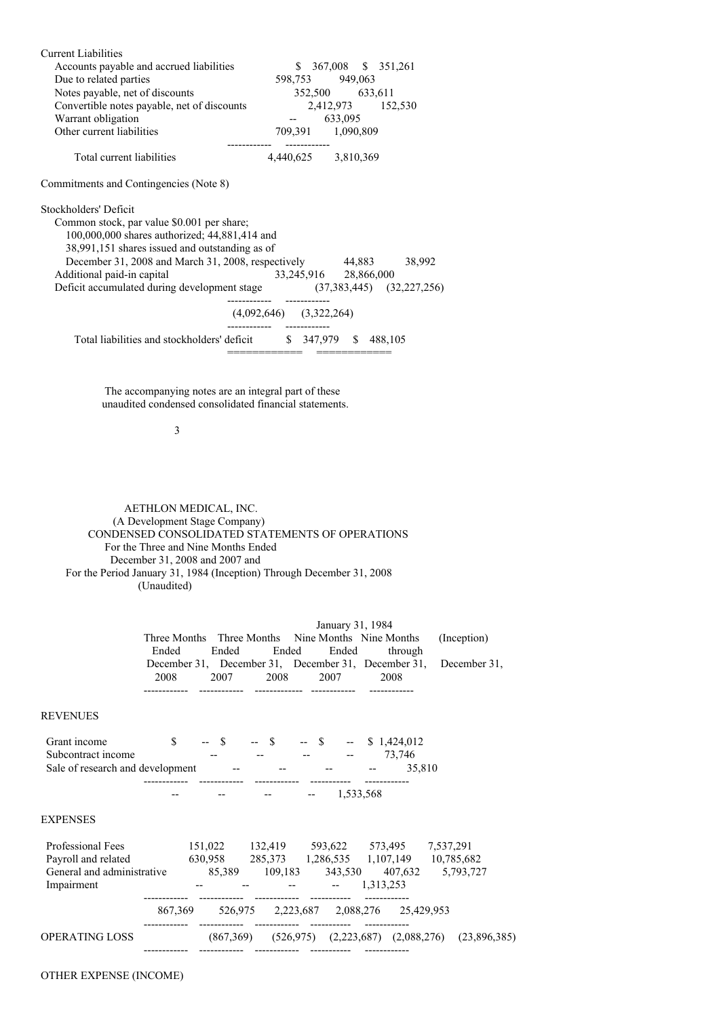| <b>Current Liabilities</b>                                             |                             |                       |  |
|------------------------------------------------------------------------|-----------------------------|-----------------------|--|
| Accounts payable and accrued liabilities                               |                             | $$367,008$ $$351,261$ |  |
| Due to related parties                                                 |                             | 598,753 949,063       |  |
| Notes payable, net of discounts                                        |                             | 352,500 633,611       |  |
| Convertible notes payable, net of discounts                            |                             | 2,412,973 152,530     |  |
| Warrant obligation                                                     |                             | $-633,095$            |  |
| Other current liabilities                                              |                             | 709,391 1,090,809     |  |
|                                                                        |                             |                       |  |
| Total current liabilities                                              |                             | 4,440,625 3,810,369   |  |
| Commitments and Contingencies (Note 8)                                 |                             |                       |  |
| Stockholders' Deficit                                                  |                             |                       |  |
| Common stock, par value \$0.001 per share;                             |                             |                       |  |
| 100,000,000 shares authorized; 44,881,414 and                          |                             |                       |  |
| 38,991,151 shares issued and outstanding as of                         |                             |                       |  |
| December 31, 2008 and March 31, 2008, respectively 44,883 38,992       |                             |                       |  |
| Additional paid-in capital                                             |                             | 33,245,916 28,866,000 |  |
| Deficit accumulated during development stage (37,383,445) (32,227,256) |                             |                       |  |
|                                                                        | $(4,092,646)$ $(3,322,264)$ |                       |  |
| Total liabilities and stockholders' deficit \$ 347,979 \$ 488,105      |                             |                       |  |

The accompanying notes are an integral part of these unaudited condensed consolidated financial statements.

3

AETHLON MEDICAL, INC. (A Development Stage Company) CONDENSED CONSOLIDATED STATEMENTS OF OPERATIONS For the Three and Nine Months Ended December 31, 2008 and 2007 and For the Period January 31, 1984 (Inception) Through December 31, 2008 (Unaudited)

|                                                                                                                                                                                                                        | Ended | Ended Ended | January 31, 1984<br>Ended              | Three Months Three Months Nine Months Nine Months<br>through                                                                                                                                                                | (Inception)<br>December 31, December 31, December 31, December 31, December 31, |  |
|------------------------------------------------------------------------------------------------------------------------------------------------------------------------------------------------------------------------|-------|-------------|----------------------------------------|-----------------------------------------------------------------------------------------------------------------------------------------------------------------------------------------------------------------------------|---------------------------------------------------------------------------------|--|
|                                                                                                                                                                                                                        |       |             | 2008 2007 2008 2007 2008               |                                                                                                                                                                                                                             |                                                                                 |  |
| REVENUES                                                                                                                                                                                                               |       |             |                                        |                                                                                                                                                                                                                             |                                                                                 |  |
| Grant income<br>Subcontract income<br>Sale of research and development -- - - - - - - - -                                                                                                                              |       |             |                                        | $\begin{array}{ccccccc}\n\text{\$} & - & \text{\$} & - & \text{\$} & - & \text{\$} & - & \text{\$} & \text{\$} & \text{\$} & 1,424,012 \\  & - & - & - & - & - & - & \text{\$} & \text{\$} & 73,746\n\end{array}$<br>35,810 |                                                                                 |  |
|                                                                                                                                                                                                                        |       |             | $     1,533,568$                       |                                                                                                                                                                                                                             |                                                                                 |  |
| EXPENSES                                                                                                                                                                                                               |       |             |                                        |                                                                                                                                                                                                                             |                                                                                 |  |
| Professional Fees 151,022 132,419 593,622 573,495 7,537,291<br>Payroll and related 630,958 285,373 1,286,535 1,107,149 10,785,682<br>General and administrative 85,389 109,183 343,530 407,632 5,793,727<br>Impairment |       |             | $     1,313,253$                       |                                                                                                                                                                                                                             |                                                                                 |  |
|                                                                                                                                                                                                                        |       |             |                                        | 867,369 526,975 2,223,687 2,088,276 25,429,953                                                                                                                                                                              |                                                                                 |  |
| OPERATING LOSS                                                                                                                                                                                                         |       |             | ------------  -----------  ----------- |                                                                                                                                                                                                                             | $(867,369)$ $(526,975)$ $(2,223,687)$ $(2,088,276)$ $(23,896,385)$              |  |

# OTHER EXPENSE (INCOME)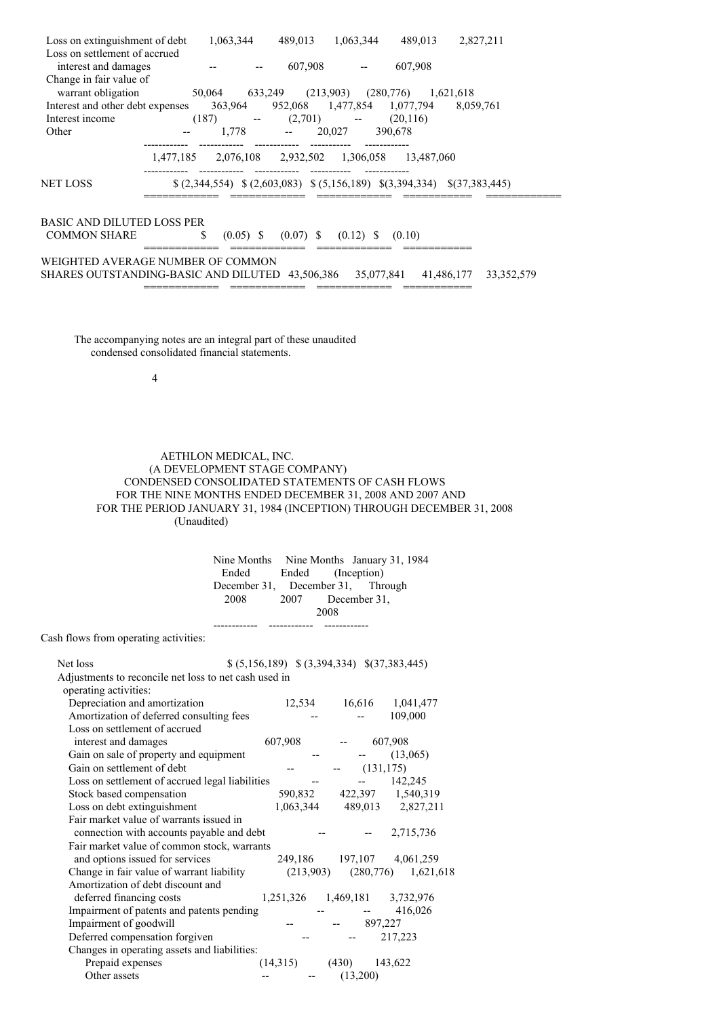| Loss on extinguishment of debt                  | 1,063,344 | 489,013                                                                | 1,063,344 | 489,013               | 2,827,211    |  |
|-------------------------------------------------|-----------|------------------------------------------------------------------------|-----------|-----------------------|--------------|--|
| Loss on settlement of accrued                   |           |                                                                        |           |                       |              |  |
| interest and damages                            |           | 607,908                                                                |           | 607,908               |              |  |
| Change in fair value of                         |           |                                                                        |           |                       |              |  |
| warrant obligation                              |           | 50,064 633,249 (213,903) (280,776) 1,621,618                           |           |                       |              |  |
| Interest and other debt expenses                |           | 363,964 952,068 1,477,854 1,077,794                                    |           |                       | 8,059,761    |  |
| Interest income                                 |           | $(187)$ -- $(2,701)$ -- $(20,116)$                                     |           |                       |              |  |
| Other                                           |           | $1.778$ --                                                             | 20,027    | 390.678               |              |  |
|                                                 |           |                                                                        |           |                       |              |  |
|                                                 |           | 1,477,185 2,076,108 2,932,502 1,306,058 13,487,060                     |           |                       |              |  |
|                                                 |           |                                                                        |           |                       |              |  |
| NET LOSS                                        |           | $(2,344,554)$ $(2,603,083)$ $(5,156,189)$ $(3,394,334)$ $(37,383,445)$ |           |                       |              |  |
|                                                 |           |                                                                        |           |                       |              |  |
|                                                 |           |                                                                        |           |                       |              |  |
| BASIC AND DILUTED LOSS PER                      |           |                                                                        |           |                       |              |  |
| <b>COMMON SHARE</b>                             | \$        | $(0.05)$ \$ $(0.07)$ \$ $(0.12)$ \$                                    |           | (0.10)                |              |  |
|                                                 |           |                                                                        |           |                       |              |  |
| WEIGHTED AVERAGE NUMBER OF COMMON               |           |                                                                        |           |                       |              |  |
| SHARES OUTSTANDING-BASIC AND DILUTED 43,506,386 |           |                                                                        |           | 35,077,841 41,486,177 | 33, 352, 579 |  |
|                                                 |           |                                                                        |           |                       |              |  |

The accompanying notes are an integral part of these unaudited condensed consolidated financial statements.

4

## AETHLON MEDICAL, INC. (A DEVELOPMENT STAGE COMPANY) CONDENSED CONSOLIDATED STATEMENTS OF CASH FLOWS FOR THE NINE MONTHS ENDED DECEMBER 31, 2008 AND 2007 AND FOR THE PERIOD JANUARY 31, 1984 (INCEPTION) THROUGH DECEMBER 31, 2008 (Unaudited)

|                                   |                   |      | Nine Months Nine Months January 31, 1984 |
|-----------------------------------|-------------------|------|------------------------------------------|
| Ended                             | Ended (Inception) |      |                                          |
| December 31, December 31, Through |                   |      |                                          |
| 2008                              | 2007 December 31, |      |                                          |
|                                   |                   | 2008 |                                          |
|                                   |                   |      |                                          |

Cash flows from operating activities:

| Net loss                                              | $$ (5,156,189) \ $ (3,394,334) \ $ (37,383,445)$ |           |                               |            |                                     |
|-------------------------------------------------------|--------------------------------------------------|-----------|-------------------------------|------------|-------------------------------------|
| Adjustments to reconcile net loss to net cash used in |                                                  |           |                               |            |                                     |
| operating activities:                                 |                                                  |           |                               |            |                                     |
| Depreciation and amortization                         |                                                  |           | 12,534 16,616                 |            | 1,041,477                           |
| Amortization of deferred consulting fees              |                                                  |           |                               |            | 109,000                             |
| Loss on settlement of accrued                         |                                                  |           |                               |            |                                     |
| interest and damages                                  | 607,908                                          |           |                               | 607,908    |                                     |
| Gain on sale of property and equipment                |                                                  |           |                               |            | (13,065)                            |
| Gain on settlement of debt                            |                                                  |           |                               | (131, 175) |                                     |
| Loss on settlement of accrued legal liabilities       |                                                  |           |                               |            | 142,245                             |
| Stock based compensation                              |                                                  | 590,832   |                               |            | 422,397 1,540,319                   |
| Loss on debt extinguishment                           |                                                  | 1,063,344 |                               |            | 489,013 2,827,211                   |
| Fair market value of warrants issued in               |                                                  |           |                               |            |                                     |
| connection with accounts payable and debt             |                                                  |           |                               |            | 2,715,736                           |
| Fair market value of common stock, warrants           |                                                  |           |                               |            |                                     |
| and options issued for services                       |                                                  |           |                               |            | 249,186 197,107 4,061,259           |
| Change in fair value of warrant liability             |                                                  |           |                               |            | $(213,903)$ $(280,776)$ $1,621,618$ |
| Amortization of debt discount and                     |                                                  |           |                               |            |                                     |
| deferred financing costs                              |                                                  |           | 1,251,326 1,469,181 3,732,976 |            |                                     |
| Impairment of patents and patents pending             |                                                  |           |                               |            | 416,026                             |
| Impairment of goodwill                                |                                                  |           |                               | 897,227    |                                     |
| Deferred compensation forgiven                        |                                                  |           |                               |            | 217,223                             |
| Changes in operating assets and liabilities:          |                                                  |           |                               |            |                                     |
| Prepaid expenses                                      | (14,315)                                         |           | (430)                         | 143,622    |                                     |
| Other assets                                          |                                                  |           | (13,200)                      |            |                                     |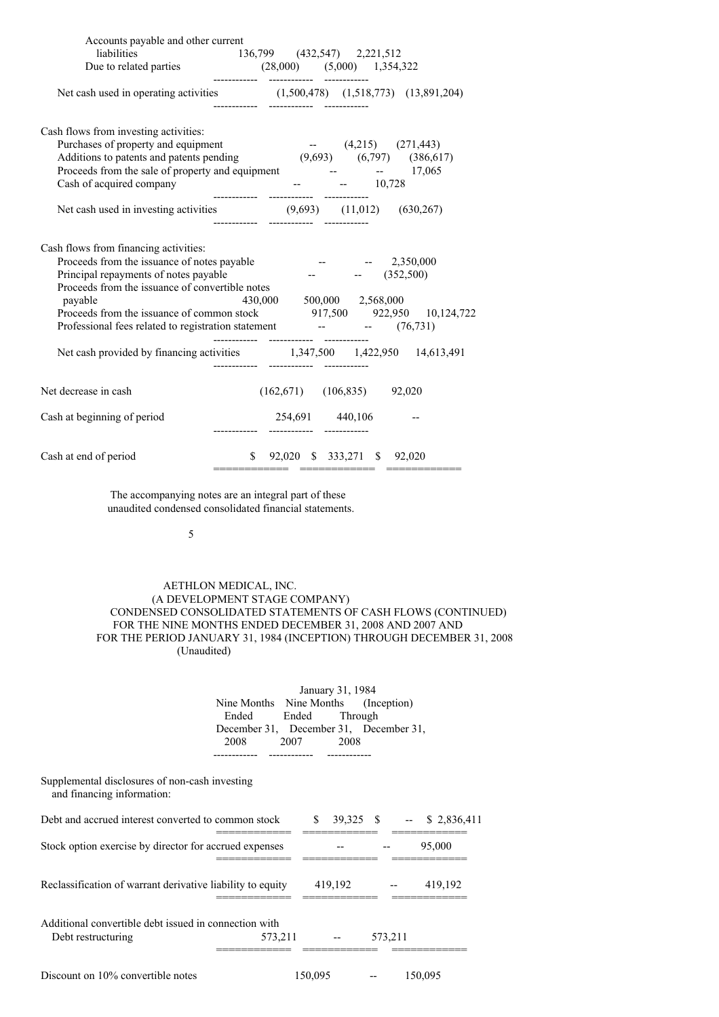| Accounts payable and other current                                                                                                           | liabilities<br>Due to related parties<br>$(28,000)$ $(5,000)$ $1,354,322$<br>$---$<br>$---$<br>$---$<br>$---$                                                                                                                                                                                                                                                             |
|----------------------------------------------------------------------------------------------------------------------------------------------|---------------------------------------------------------------------------------------------------------------------------------------------------------------------------------------------------------------------------------------------------------------------------------------------------------------------------------------------------------------------------|
|                                                                                                                                              | Net cash used in operating activities (1,500,478) (1,518,773) (13,891,204)<br>------------  -----------  -----------                                                                                                                                                                                                                                                      |
| Cash flows from investing activities:<br>Cash of acquired company                                                                            | Purchases of property and equipment<br>Additions to patents and patents pending<br>Proceeds from the sale of property and equipment<br>$(9,693)$ $(6,797)$ $(386,617)$<br>Proceeds from the sale of property and equipment<br>$ -$                                                                                                                                        |
| Cash flows from financing activities:<br>Principal repayments of notes payable<br>Proceeds from the issuance of convertible notes<br>payable | Proceeds from the issuance of notes payable -- - 2,350,000<br>$ (352,500)$<br>430,000 500,000 2,568,000<br>Proceeds from the issuance of common stock 917,500 922,950 10,124,722<br>Professional fees related to registration statement -- (76,731)<br>------------  -----------  -----------<br>Net cash provided by financing activities 1,347,500 1,422,950 14,613,491 |
| Net decrease in cash<br>Cash at beginning of period                                                                                          | $(162,671)$ $(106,835)$ 92,020<br>254,691 440,106 --                                                                                                                                                                                                                                                                                                                      |
| Cash at end of period                                                                                                                        | $$92,020 \quad $333,271 \quad $92,020$                                                                                                                                                                                                                                                                                                                                    |

The accompanying notes are an integral part of these unaudited condensed consolidated financial statements.

5

### AETHLON MEDICAL, INC. (A DEVELOPMENT STAGE COMPANY) CONDENSED CONSOLIDATED STATEMENTS OF CASH FLOWS (CONTINUED) FOR THE NINE MONTHS ENDED DECEMBER 31, 2008 AND 2007 AND FOR THE PERIOD JANUARY 31, 1984 (INCEPTION) THROUGH DECEMBER 31, 2008 (Unaudited)

|                                                                              |                                        | January 31, 1984 |         |                                         |
|------------------------------------------------------------------------------|----------------------------------------|------------------|---------|-----------------------------------------|
|                                                                              | Nine Months Nine Months (Inception)    |                  |         |                                         |
|                                                                              | Ended<br>Ended                         | Through          |         |                                         |
|                                                                              | December 31, December 31, December 31, |                  |         |                                         |
|                                                                              | 2008<br>2007                           | 2008             |         |                                         |
|                                                                              |                                        |                  |         |                                         |
| Supplemental disclosures of non-cash investing<br>and financing information: |                                        |                  |         |                                         |
| Debt and accrued interest converted to common stock                          |                                        |                  |         | $\frac{1}{2}$ 39,325 \$ -- \$ 2,836,411 |
| Stock option exercise by director for accrued expenses                       |                                        |                  |         | 95,000                                  |
| Reclassification of warrant derivative liability to equity                   |                                        | 419,192          |         | 419,192                                 |
| Additional convertible debt issued in connection with<br>Debt restructuring  | 573,211                                |                  | 573,211 |                                         |
| Discount on 10% convertible notes                                            |                                        | 150,095          |         | 150,095                                 |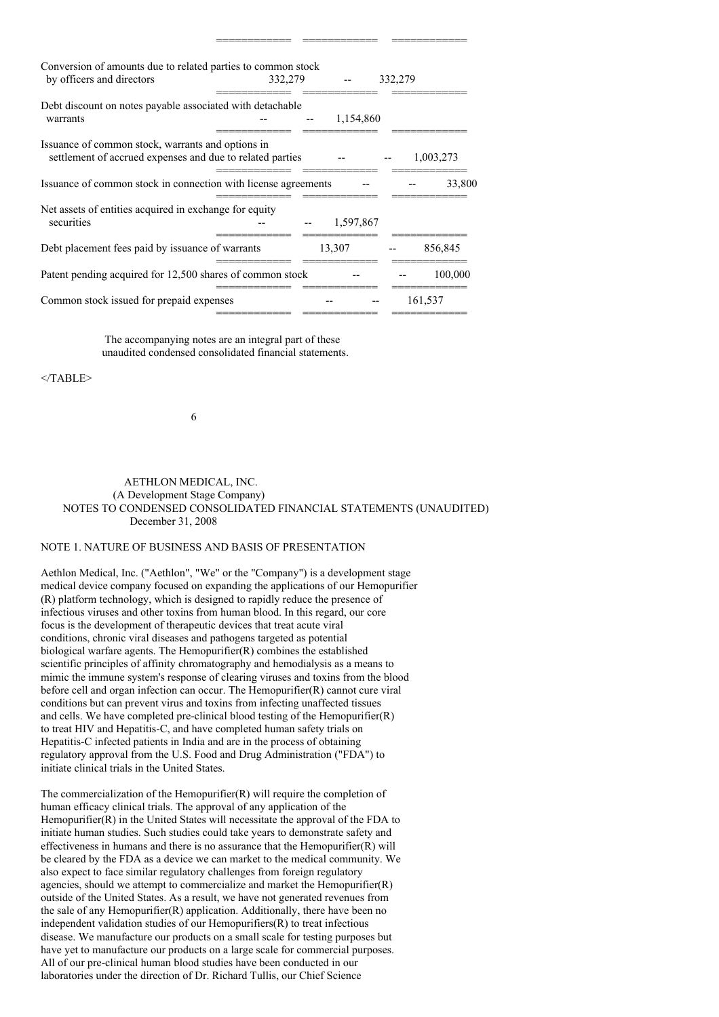| Conversion of amounts due to related parties to common stock<br>by officers and directors                      | 332,279 |           | 332,279 |           |
|----------------------------------------------------------------------------------------------------------------|---------|-----------|---------|-----------|
| Debt discount on notes payable associated with detachable<br>warrants                                          |         | 1,154,860 |         |           |
| Issuance of common stock, warrants and options in<br>settlement of accrued expenses and due to related parties |         |           |         | 1,003,273 |
| Issuance of common stock in connection with license agreements                                                 |         |           |         | 33,800    |
| Net assets of entities acquired in exchange for equity<br>securities                                           |         | 1,597,867 |         |           |
| Debt placement fees paid by issuance of warrants                                                               |         | 13,307    |         | 856,845   |
| Patent pending acquired for 12,500 shares of common stock                                                      |         |           |         | 100,000   |
| Common stock issued for prepaid expenses                                                                       |         |           |         | 161,537   |

============ ============ ============

The accompanying notes are an integral part of these unaudited condensed consolidated financial statements.

 $<$ /TABLE>

6

### AETHLON MEDICAL, INC. (A Development Stage Company) NOTES TO CONDENSED CONSOLIDATED FINANCIAL STATEMENTS (UNAUDITED) December 31, 2008

## NOTE 1. NATURE OF BUSINESS AND BASIS OF PRESENTATION

Aethlon Medical, Inc. ("Aethlon", "We" or the "Company") is a development stage medical device company focused on expanding the applications of our Hemopurifier (R) platform technology, which is designed to rapidly reduce the presence of infectious viruses and other toxins from human blood. In this regard, our core focus is the development of therapeutic devices that treat acute viral conditions, chronic viral diseases and pathogens targeted as potential biological warfare agents. The Hemopurifier(R) combines the established scientific principles of affinity chromatography and hemodialysis as a means to mimic the immune system's response of clearing viruses and toxins from the blood before cell and organ infection can occur. The Hemopurifier(R) cannot cure viral conditions but can prevent virus and toxins from infecting unaffected tissues and cells. We have completed pre-clinical blood testing of the Hemopurifier(R) to treat HIV and Hepatitis-C, and have completed human safety trials on Hepatitis-C infected patients in India and are in the process of obtaining regulatory approval from the U.S. Food and Drug Administration ("FDA") to initiate clinical trials in the United States.

The commercialization of the Hemopurifier(R) will require the completion of human efficacy clinical trials. The approval of any application of the Hemopurifier(R) in the United States will necessitate the approval of the FDA to initiate human studies. Such studies could take years to demonstrate safety and effectiveness in humans and there is no assurance that the Hemopurifier $(R)$  will be cleared by the FDA as a device we can market to the medical community. We also expect to face similar regulatory challenges from foreign regulatory agencies, should we attempt to commercialize and market the Hemopurifier(R) outside of the United States. As a result, we have not generated revenues from the sale of any Hemopurifier(R) application. Additionally, there have been no independent validation studies of our Hemopurifiers(R) to treat infectious disease. We manufacture our products on a small scale for testing purposes but have yet to manufacture our products on a large scale for commercial purposes. All of our pre-clinical human blood studies have been conducted in our laboratories under the direction of Dr. Richard Tullis, our Chief Science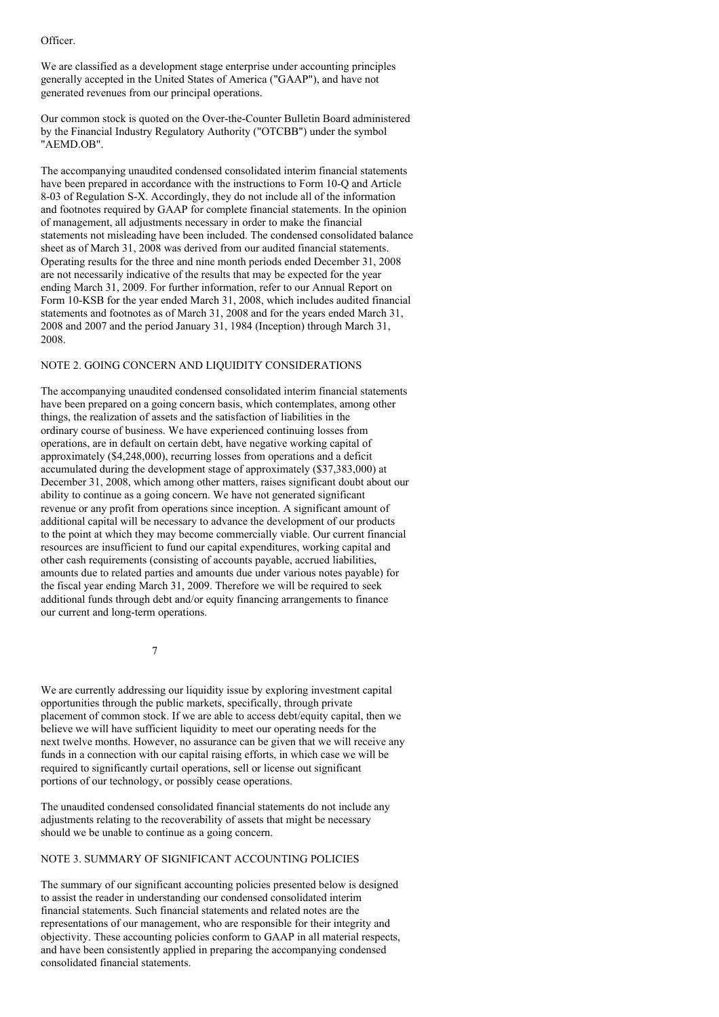Officer.

We are classified as a development stage enterprise under accounting principles generally accepted in the United States of America ("GAAP"), and have not generated revenues from our principal operations.

Our common stock is quoted on the Over-the-Counter Bulletin Board administered by the Financial Industry Regulatory Authority ("OTCBB") under the symbol "AEMD.OB".

The accompanying unaudited condensed consolidated interim financial statements have been prepared in accordance with the instructions to Form 10-O and Article 8-03 of Regulation S-X. Accordingly, they do not include all of the information and footnotes required by GAAP for complete financial statements. In the opinion of management, all adjustments necessary in order to make the financial statements not misleading have been included. The condensed consolidated balance sheet as of March 31, 2008 was derived from our audited financial statements. Operating results for the three and nine month periods ended December 31, 2008 are not necessarily indicative of the results that may be expected for the year ending March 31, 2009. For further information, refer to our Annual Report on Form 10-KSB for the year ended March 31, 2008, which includes audited financial statements and footnotes as of March 31, 2008 and for the years ended March 31, 2008 and 2007 and the period January 31, 1984 (Inception) through March 31, 2008.

### NOTE 2. GOING CONCERN AND LIQUIDITY CONSIDERATIONS

The accompanying unaudited condensed consolidated interim financial statements have been prepared on a going concern basis, which contemplates, among other things, the realization of assets and the satisfaction of liabilities in the ordinary course of business. We have experienced continuing losses from operations, are in default on certain debt, have negative working capital of approximately (\$4,248,000), recurring losses from operations and a deficit accumulated during the development stage of approximately (\$37,383,000) at December 31, 2008, which among other matters, raises significant doubt about our ability to continue as a going concern. We have not generated significant revenue or any profit from operations since inception. A significant amount of additional capital will be necessary to advance the development of our products to the point at which they may become commercially viable. Our current financial resources are insufficient to fund our capital expenditures, working capital and other cash requirements (consisting of accounts payable, accrued liabilities, amounts due to related parties and amounts due under various notes payable) for the fiscal year ending March 31, 2009. Therefore we will be required to seek additional funds through debt and/or equity financing arrangements to finance our current and long-term operations.

7

We are currently addressing our liquidity issue by exploring investment capital opportunities through the public markets, specifically, through private placement of common stock. If we are able to access debt/equity capital, then we believe we will have sufficient liquidity to meet our operating needs for the next twelve months. However, no assurance can be given that we will receive any funds in a connection with our capital raising efforts, in which case we will be required to significantly curtail operations, sell or license out significant portions of our technology, or possibly cease operations.

The unaudited condensed consolidated financial statements do not include any adjustments relating to the recoverability of assets that might be necessary should we be unable to continue as a going concern.

# NOTE 3. SUMMARY OF SIGNIFICANT ACCOUNTING POLICIES

The summary of our significant accounting policies presented below is designed to assist the reader in understanding our condensed consolidated interim financial statements. Such financial statements and related notes are the representations of our management, who are responsible for their integrity and objectivity. These accounting policies conform to GAAP in all material respects, and have been consistently applied in preparing the accompanying condensed consolidated financial statements.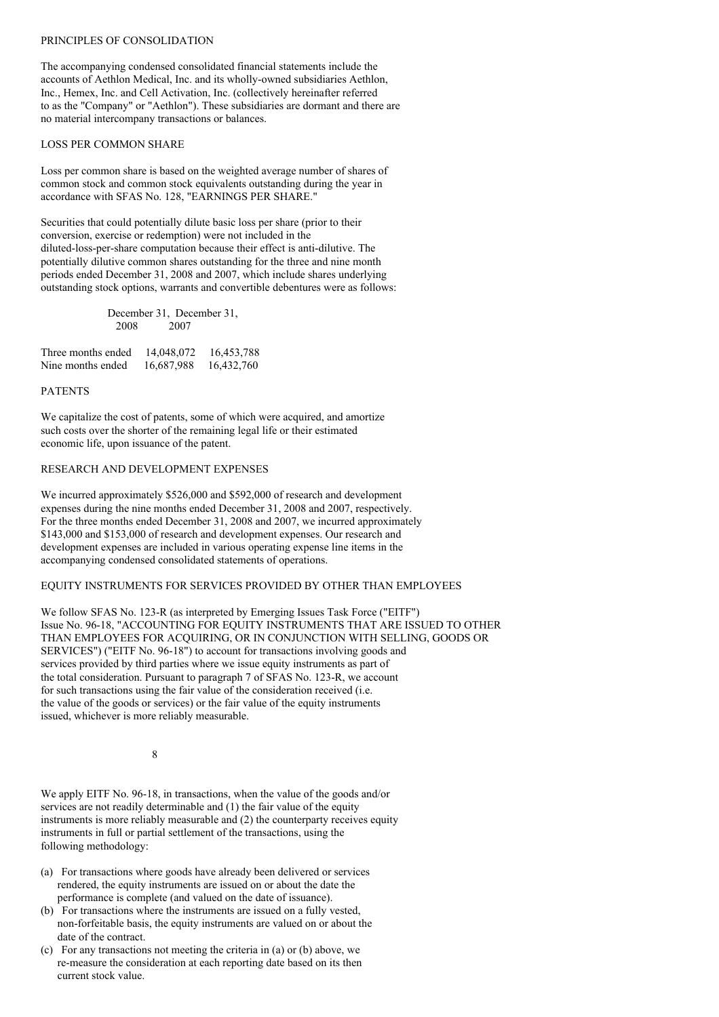### PRINCIPLES OF CONSOLIDATION

The accompanying condensed consolidated financial statements include the accounts of Aethlon Medical, Inc. and its wholly-owned subsidiaries Aethlon, Inc., Hemex, Inc. and Cell Activation, Inc. (collectively hereinafter referred to as the "Company" or "Aethlon"). These subsidiaries are dormant and there are no material intercompany transactions or balances.

#### LOSS PER COMMON SHARE

Loss per common share is based on the weighted average number of shares of common stock and common stock equivalents outstanding during the year in accordance with SFAS No. 128, "EARNINGS PER SHARE."

Securities that could potentially dilute basic loss per share (prior to their conversion, exercise or redemption) were not included in the diluted-loss-per-share computation because their effect is anti-dilutive. The potentially dilutive common shares outstanding for the three and nine month periods ended December 31, 2008 and 2007, which include shares underlying outstanding stock options, warrants and convertible debentures were as follows:

|      | December 31, December 31, |
|------|---------------------------|
| 2008 | 2007                      |

| Three months ended | 14,048,072 | 16,453,788 |
|--------------------|------------|------------|
| Nine months ended  | 16,687,988 | 16,432,760 |

## PATENTS

We capitalize the cost of patents, some of which were acquired, and amortize such costs over the shorter of the remaining legal life or their estimated economic life, upon issuance of the patent.

# RESEARCH AND DEVELOPMENT EXPENSES

We incurred approximately \$526,000 and \$592,000 of research and development expenses during the nine months ended December 31, 2008 and 2007, respectively. For the three months ended December 31, 2008 and 2007, we incurred approximately \$143,000 and \$153,000 of research and development expenses. Our research and development expenses are included in various operating expense line items in the accompanying condensed consolidated statements of operations.

### EQUITY INSTRUMENTS FOR SERVICES PROVIDED BY OTHER THAN EMPLOYEES

We follow SFAS No. 123-R (as interpreted by Emerging Issues Task Force ("EITF") Issue No. 96-18, "ACCOUNTING FOR EQUITY INSTRUMENTS THAT ARE ISSUED TO OTHER THAN EMPLOYEES FOR ACQUIRING, OR IN CONJUNCTION WITH SELLING, GOODS OR SERVICES") ("EITF No. 96-18") to account for transactions involving goods and services provided by third parties where we issue equity instruments as part of the total consideration. Pursuant to paragraph 7 of SFAS No. 123-R, we account for such transactions using the fair value of the consideration received (i.e. the value of the goods or services) or the fair value of the equity instruments issued, whichever is more reliably measurable.

8

We apply EITF No. 96-18, in transactions, when the value of the goods and/or services are not readily determinable and (1) the fair value of the equity instruments is more reliably measurable and (2) the counterparty receives equity instruments in full or partial settlement of the transactions, using the following methodology:

- (a) For transactions where goods have already been delivered or services rendered, the equity instruments are issued on or about the date the performance is complete (and valued on the date of issuance).
- (b) For transactions where the instruments are issued on a fully vested, non-forfeitable basis, the equity instruments are valued on or about the date of the contract.
- (c) For any transactions not meeting the criteria in (a) or (b) above, we re-measure the consideration at each reporting date based on its then current stock value.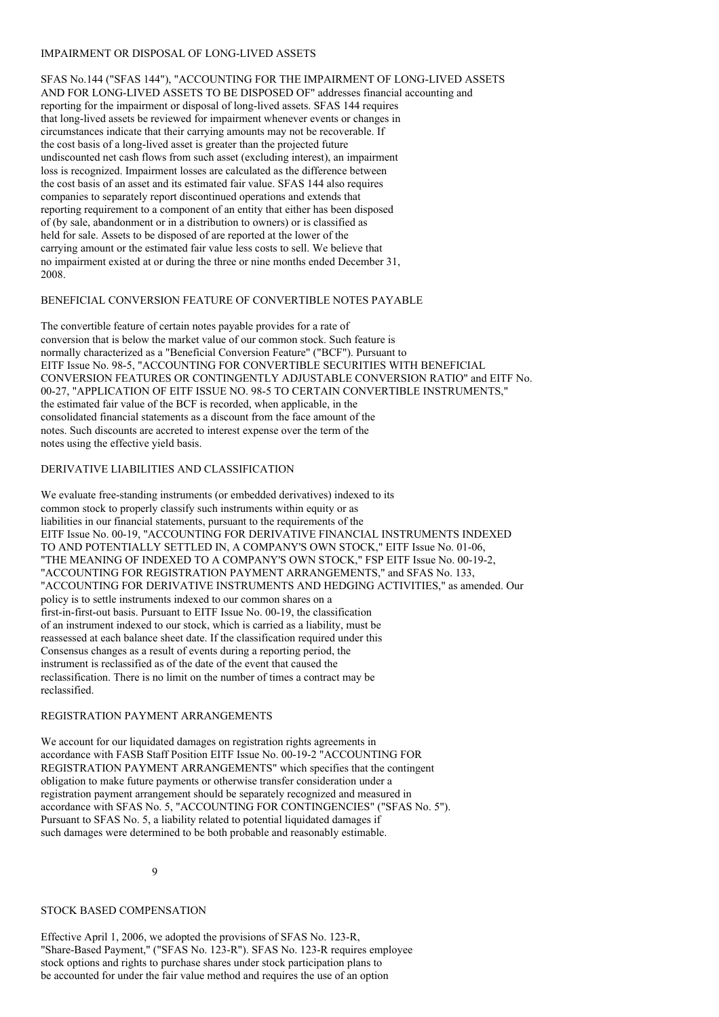### IMPAIRMENT OR DISPOSAL OF LONG-LIVED ASSETS

SFAS No.144 ("SFAS 144"), "ACCOUNTING FOR THE IMPAIRMENT OF LONG-LIVED ASSETS AND FOR LONG-LIVED ASSETS TO BE DISPOSED OF" addresses financial accounting and reporting for the impairment or disposal of long-lived assets. SFAS 144 requires that long-lived assets be reviewed for impairment whenever events or changes in circumstances indicate that their carrying amounts may not be recoverable. If the cost basis of a long-lived asset is greater than the projected future undiscounted net cash flows from such asset (excluding interest), an impairment loss is recognized. Impairment losses are calculated as the difference between the cost basis of an asset and its estimated fair value. SFAS 144 also requires companies to separately report discontinued operations and extends that reporting requirement to a component of an entity that either has been disposed of (by sale, abandonment or in a distribution to owners) or is classified as held for sale. Assets to be disposed of are reported at the lower of the carrying amount or the estimated fair value less costs to sell. We believe that no impairment existed at or during the three or nine months ended December 31, 2008.

# BENEFICIAL CONVERSION FEATURE OF CONVERTIBLE NOTES PAYABLE

The convertible feature of certain notes payable provides for a rate of conversion that is below the market value of our common stock. Such feature is normally characterized as a "Beneficial Conversion Feature" ("BCF"). Pursuant to EITF Issue No. 98-5, "ACCOUNTING FOR CONVERTIBLE SECURITIES WITH BENEFICIAL CONVERSION FEATURES OR CONTINGENTLY ADJUSTABLE CONVERSION RATIO" and EITF No. 00-27, "APPLICATION OF EITF ISSUE NO. 98-5 TO CERTAIN CONVERTIBLE INSTRUMENTS," the estimated fair value of the BCF is recorded, when applicable, in the consolidated financial statements as a discount from the face amount of the notes. Such discounts are accreted to interest expense over the term of the notes using the effective yield basis.

## DERIVATIVE LIABILITIES AND CLASSIFICATION

We evaluate free-standing instruments (or embedded derivatives) indexed to its common stock to properly classify such instruments within equity or as liabilities in our financial statements, pursuant to the requirements of the EITF Issue No. 00-19, "ACCOUNTING FOR DERIVATIVE FINANCIAL INSTRUMENTS INDEXED TO AND POTENTIALLY SETTLED IN, A COMPANY'S OWN STOCK," EITF Issue No. 01-06, "THE MEANING OF INDEXED TO A COMPANY'S OWN STOCK," FSP EITF Issue No. 00-19-2, "ACCOUNTING FOR REGISTRATION PAYMENT ARRANGEMENTS," and SFAS No. 133, "ACCOUNTING FOR DERIVATIVE INSTRUMENTS AND HEDGING ACTIVITIES," as amended. Our policy is to settle instruments indexed to our common shares on a first-in-first-out basis. Pursuant to EITF Issue No. 00-19, the classification of an instrument indexed to our stock, which is carried as a liability, must be reassessed at each balance sheet date. If the classification required under this Consensus changes as a result of events during a reporting period, the instrument is reclassified as of the date of the event that caused the reclassification. There is no limit on the number of times a contract may be reclassified.

### REGISTRATION PAYMENT ARRANGEMENTS

We account for our liquidated damages on registration rights agreements in accordance with FASB Staff Position EITF Issue No. 00-19-2 "ACCOUNTING FOR REGISTRATION PAYMENT ARRANGEMENTS" which specifies that the contingent obligation to make future payments or otherwise transfer consideration under a registration payment arrangement should be separately recognized and measured in accordance with SFAS No. 5, "ACCOUNTING FOR CONTINGENCIES" ("SFAS No. 5"). Pursuant to SFAS No. 5, a liability related to potential liquidated damages if such damages were determined to be both probable and reasonably estimable.

9

### STOCK BASED COMPENSATION

Effective April 1, 2006, we adopted the provisions of SFAS No. 123-R, "Share-Based Payment," ("SFAS No. 123-R"). SFAS No. 123-R requires employee stock options and rights to purchase shares under stock participation plans to be accounted for under the fair value method and requires the use of an option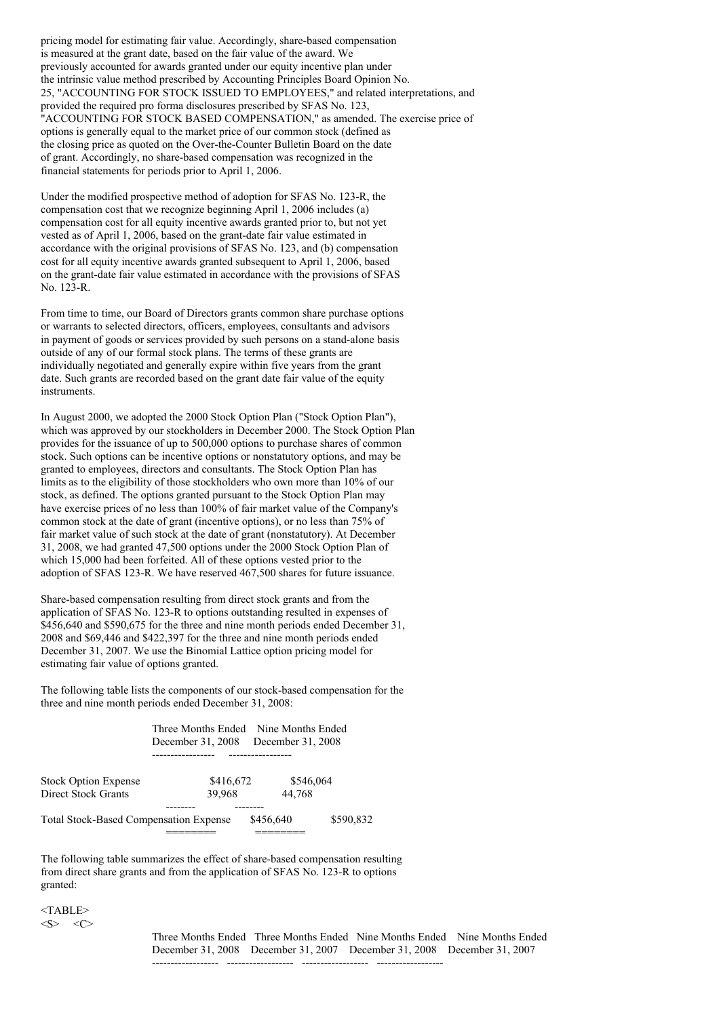pricing model for estimating fair value. Accordingly, share-based compensation is measured at the grant date, based on the fair value of the award. We previously accounted for awards granted under our equity incentive plan under the intrinsic value method prescribed by Accounting Principles Board Opinion No. 25, "ACCOUNTING FOR STOCK ISSUED TO EMPLOYEES," and related interpretations, and provided the required pro forma disclosures prescribed by SFAS No. 123, "ACCOUNTING FOR STOCK BASED COMPENSATION," as amended. The exercise price of options is generally equal to the market price of our common stock (defined as the closing price as quoted on the Over-the-Counter Bulletin Board on the date of grant. Accordingly, no share-based compensation was recognized in the financial statements for periods prior to April 1, 2006.

Under the modified prospective method of adoption for SFAS No. 123-R, the compensation cost that we recognize beginning April 1, 2006 includes (a) compensation cost for all equity incentive awards granted prior to, but not yet vested as of April 1, 2006, based on the grant-date fair value estimated in accordance with the original provisions of SFAS No. 123, and (b) compensation cost for all equity incentive awards granted subsequent to April 1, 2006, based on the grant-date fair value estimated in accordance with the provisions of SFAS No. 123-R.

From time to time, our Board of Directors grants common share purchase options or warrants to selected directors, officers, employees, consultants and advisors in payment of goods or services provided by such persons on a stand-alone basis outside of any of our formal stock plans. The terms of these grants are individually negotiated and generally expire within five years from the grant date. Such grants are recorded based on the grant date fair value of the equity instruments.

In August 2000, we adopted the 2000 Stock Option Plan ("Stock Option Plan"), which was approved by our stockholders in December 2000. The Stock Option Plan provides for the issuance of up to 500,000 options to purchase shares of common stock. Such options can be incentive options or nonstatutory options, and may be granted to employees, directors and consultants. The Stock Option Plan has limits as to the eligibility of those stockholders who own more than 10% of our stock, as defined. The options granted pursuant to the Stock Option Plan may have exercise prices of no less than 100% of fair market value of the Company's common stock at the date of grant (incentive options), or no less than 75% of fair market value of such stock at the date of grant (nonstatutory). At December 31, 2008, we had granted 47,500 options under the 2000 Stock Option Plan of which 15,000 had been forfeited. All of these options vested prior to the adoption of SFAS 123-R. We have reserved 467,500 shares for future issuance.

Share-based compensation resulting from direct stock grants and from the application of SFAS No. 123-R to options outstanding resulted in expenses of \$456,640 and \$590,675 for the three and nine month periods ended December 31, 2008 and \$69,446 and \$422,397 for the three and nine month periods ended December 31, 2007. We use the Binomial Lattice option pricing model for estimating fair value of options granted.

The following table lists the components of our stock-based compensation for the three and nine month periods ended December 31, 2008:

|                                               | Three Months Ended Nine Months Ended |                   |           |
|-----------------------------------------------|--------------------------------------|-------------------|-----------|
|                                               | December 31, 2008                    | December 31, 2008 |           |
|                                               |                                      |                   |           |
| <b>Stock Option Expense</b>                   | \$416,672                            | \$546,064         |           |
| <b>Direct Stock Grants</b>                    | 39.968                               | 44.768            |           |
|                                               |                                      |                   |           |
| <b>Total Stock-Based Compensation Expense</b> |                                      | \$456,640         | \$590,832 |
|                                               |                                      |                   |           |

The following table summarizes the effect of share-based compensation resulting from direct share grants and from the application of SFAS No. 123-R to options granted:

<TABLE>  $\langle S \rangle$   $\langle C \rangle$ 

> Three Months Ended Three Months Ended Nine Months Ended Nine Months Ended December 31, 2008 December 31, 2007 December 31, 2008 December 31, 2007

------------------ ------------------ ------------------ ------------------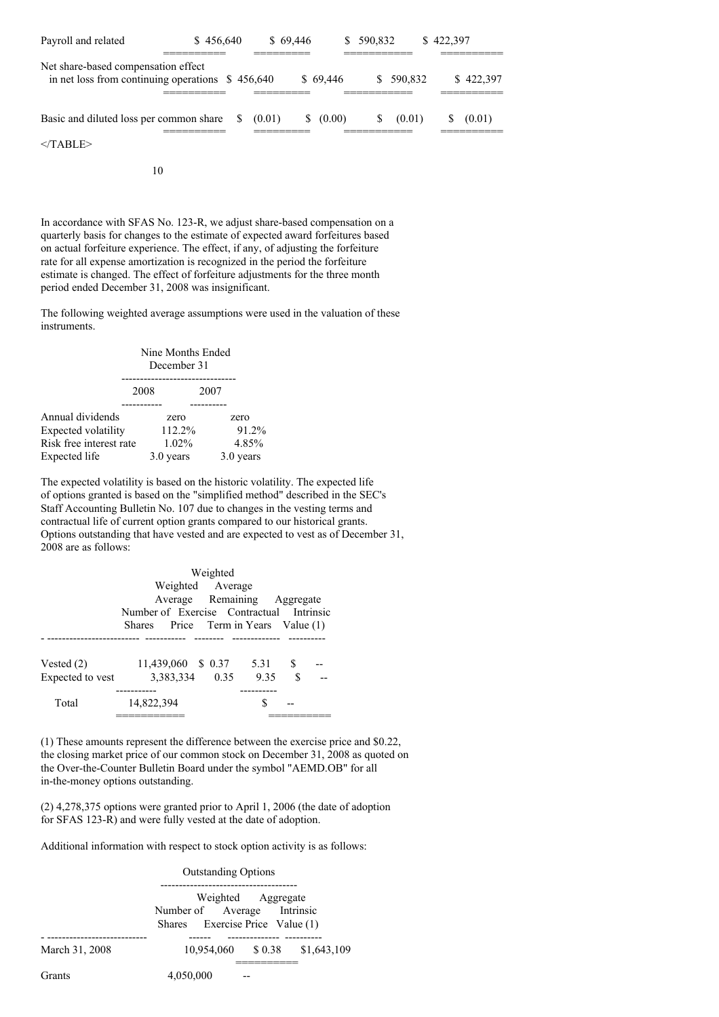| Payroll and related                                                           | \$456,640 |   |           | \$69.446 | S.       | 590,832                    |         | \$422,397         |  |
|-------------------------------------------------------------------------------|-----------|---|-----------|----------|----------|----------------------------|---------|-------------------|--|
| Net share-based compensation effect<br>in net loss from continuing operations |           |   | \$456,640 |          | \$69,446 | ________<br>________<br>S. | 590.832 | \$422,397         |  |
| Basic and diluted loss per common share                                       | _________ | S | (0.01)    | S.       | (0.00)   | S                          | (0.01)  | (0.01)<br>_______ |  |
| $<$ TABLE>                                                                    |           |   |           |          |          |                            |         |                   |  |

10

In accordance with SFAS No. 123-R, we adjust share-based compensation on a quarterly basis for changes to the estimate of expected award forfeitures based on actual forfeiture experience. The effect, if any, of adjusting the forfeiture rate for all expense amortization is recognized in the period the forfeiture estimate is changed. The effect of forfeiture adjustments for the three month period ended December 31, 2008 was insignificant.

The following weighted average assumptions were used in the valuation of these instruments.

| Nine Months Ended<br>December 31 |          |           |                    |
|----------------------------------|----------|-----------|--------------------|
| 2008                             |          | 2007      |                    |
|                                  | zero     |           | zero<br>91.2%      |
| Risk free interest rate          | $1.02\%$ |           | 4.85%<br>3.0 years |
|                                  |          | 3.0 years | 112.2%             |

The expected volatility is based on the historic volatility. The expected life of options granted is based on the "simplified method" described in the SEC's Staff Accounting Bulletin No. 107 due to changes in the vesting terms and contractual life of current option grants compared to our historical grants. Options outstanding that have vested and are expected to vest as of December 31, 2008 are as follows:

|                  | Weighted                                 |  |         |    |  |
|------------------|------------------------------------------|--|---------|----|--|
|                  | Weighted Average                         |  |         |    |  |
|                  | Average Remaining Aggregate              |  |         |    |  |
|                  | Number of Exercise Contractual Intrinsic |  |         |    |  |
|                  | Shares Price Term in Years Value (1)     |  |         |    |  |
|                  |                                          |  |         |    |  |
| Vested $(2)$     | 11,439,060 \$ 0.37                       |  | 5.31 \$ |    |  |
| Expected to vest | 3.383.334 0.35                           |  | 9.35    | \$ |  |
|                  | --------                                 |  |         |    |  |
| Total            | 14,822,394                               |  | S       |    |  |
|                  |                                          |  |         |    |  |

(1) These amounts represent the difference between the exercise price and \$0.22, the closing market price of our common stock on December 31, 2008 as quoted on the Over-the-Counter Bulletin Board under the symbol "AEMD.OB" for all in-the-money options outstanding.

(2) 4,278,375 options were granted prior to April 1, 2006 (the date of adoption for SFAS 123-R) and were fully vested at the date of adoption.

Additional information with respect to stock option activity is as follows:

Outstanding Options ------------------------------------- Weighted Aggregate Number of Average Intrinsic Shares Exercise Price Value (1) - --------------------------- ------ -------------- ---------- March 31, 2008 10,954,060 \$ 0.38 \$1,643,109 ========== Grants 4,050,000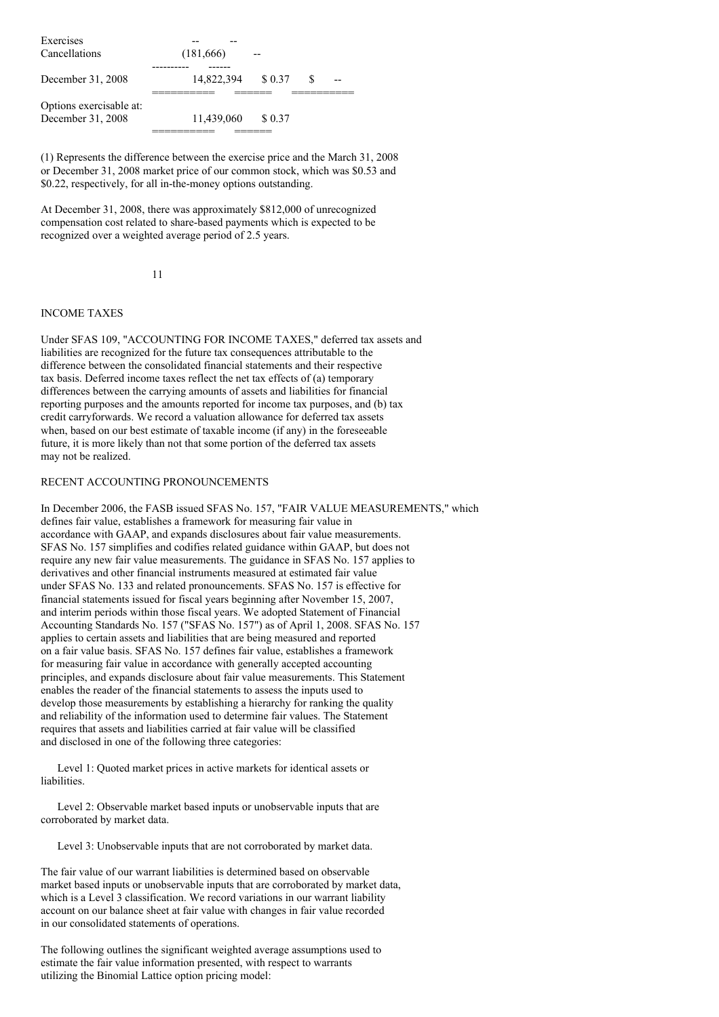| Exercises               |            |         |  |
|-------------------------|------------|---------|--|
| Cancellations           | (181,666)  |         |  |
|                         |            |         |  |
| December 31, 2008       | 14,822,394 | \$ 0.37 |  |
| Options exercisable at: |            |         |  |
| December 31, 2008       | 11,439,060 | \$0.37  |  |
|                         |            |         |  |

(1) Represents the difference between the exercise price and the March 31, 2008 or December 31, 2008 market price of our common stock, which was \$0.53 and \$0.22, respectively, for all in-the-money options outstanding.

At December 31, 2008, there was approximately \$812,000 of unrecognized compensation cost related to share-based payments which is expected to be recognized over a weighted average period of 2.5 years.

11

## INCOME TAXES

Under SFAS 109, "ACCOUNTING FOR INCOME TAXES," deferred tax assets and liabilities are recognized for the future tax consequences attributable to the difference between the consolidated financial statements and their respective tax basis. Deferred income taxes reflect the net tax effects of (a) temporary differences between the carrying amounts of assets and liabilities for financial reporting purposes and the amounts reported for income tax purposes, and (b) tax credit carryforwards. We record a valuation allowance for deferred tax assets when, based on our best estimate of taxable income (if any) in the foreseeable future, it is more likely than not that some portion of the deferred tax assets may not be realized.

### RECENT ACCOUNTING PRONOUNCEMENTS

In December 2006, the FASB issued SFAS No. 157, "FAIR VALUE MEASUREMENTS," which defines fair value, establishes a framework for measuring fair value in accordance with GAAP, and expands disclosures about fair value measurements. SFAS No. 157 simplifies and codifies related guidance within GAAP, but does not require any new fair value measurements. The guidance in SFAS No. 157 applies to derivatives and other financial instruments measured at estimated fair value under SFAS No. 133 and related pronouncements. SFAS No. 157 is effective for financial statements issued for fiscal years beginning after November 15, 2007, and interim periods within those fiscal years. We adopted Statement of Financial Accounting Standards No. 157 ("SFAS No. 157") as of April 1, 2008. SFAS No. 157 applies to certain assets and liabilities that are being measured and reported on a fair value basis. SFAS No. 157 defines fair value, establishes a framework for measuring fair value in accordance with generally accepted accounting principles, and expands disclosure about fair value measurements. This Statement enables the reader of the financial statements to assess the inputs used to develop those measurements by establishing a hierarchy for ranking the quality and reliability of the information used to determine fair values. The Statement requires that assets and liabilities carried at fair value will be classified and disclosed in one of the following three categories:

Level 1: Quoted market prices in active markets for identical assets or liabilities.

Level 2: Observable market based inputs or unobservable inputs that are corroborated by market data.

Level 3: Unobservable inputs that are not corroborated by market data.

The fair value of our warrant liabilities is determined based on observable market based inputs or unobservable inputs that are corroborated by market data, which is a Level 3 classification. We record variations in our warrant liability account on our balance sheet at fair value with changes in fair value recorded in our consolidated statements of operations.

The following outlines the significant weighted average assumptions used to estimate the fair value information presented, with respect to warrants utilizing the Binomial Lattice option pricing model: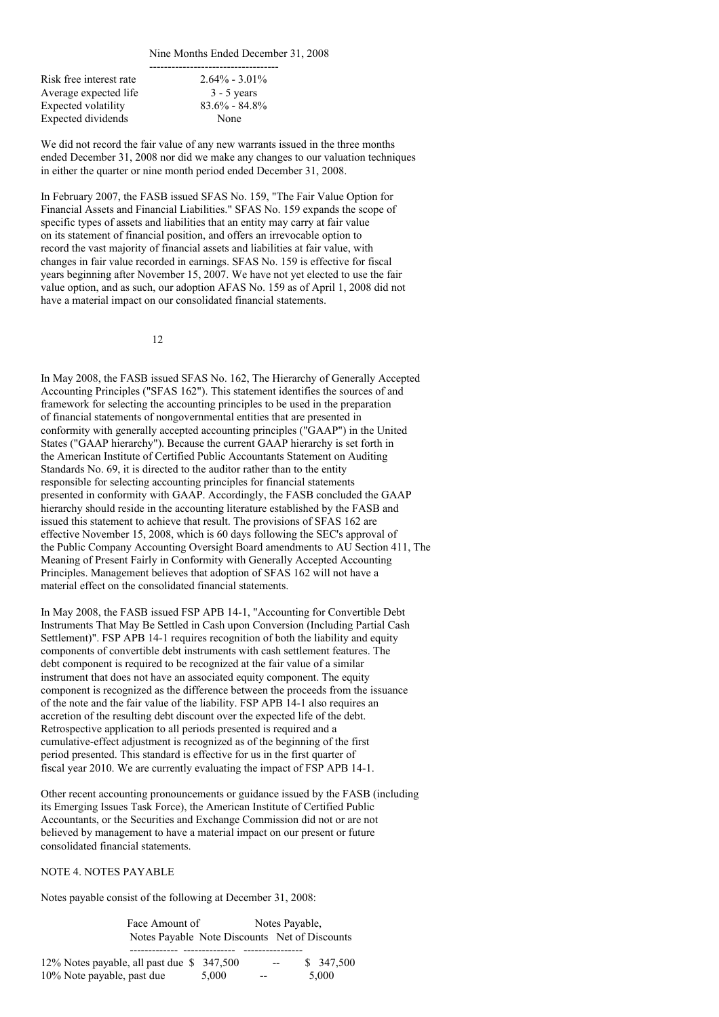Nine Months Ended December 31, 2008

Risk free interest rate Average expected life 3 - 5 years Expected volatility 83.6% - 84.8% Expected dividends None

-----------------------------------

We did not record the fair value of any new warrants issued in the three months ended December 31, 2008 nor did we make any changes to our valuation techniques in either the quarter or nine month period ended December 31, 2008.

In February 2007, the FASB issued SFAS No. 159, "The Fair Value Option for Financial Assets and Financial Liabilities." SFAS No. 159 expands the scope of specific types of assets and liabilities that an entity may carry at fair value on its statement of financial position, and offers an irrevocable option to record the vast majority of financial assets and liabilities at fair value, with changes in fair value recorded in earnings. SFAS No. 159 is effective for fiscal years beginning after November 15, 2007. We have not yet elected to use the fair value option, and as such, our adoption AFAS No. 159 as of April 1, 2008 did not have a material impact on our consolidated financial statements.

12

In May 2008, the FASB issued SFAS No. 162, The Hierarchy of Generally Accepted Accounting Principles ("SFAS 162"). This statement identifies the sources of and framework for selecting the accounting principles to be used in the preparation of financial statements of nongovernmental entities that are presented in conformity with generally accepted accounting principles ("GAAP") in the United States ("GAAP hierarchy"). Because the current GAAP hierarchy is set forth in the American Institute of Certified Public Accountants Statement on Auditing Standards No. 69, it is directed to the auditor rather than to the entity responsible for selecting accounting principles for financial statements presented in conformity with GAAP. Accordingly, the FASB concluded the GAAP hierarchy should reside in the accounting literature established by the FASB and issued this statement to achieve that result. The provisions of SFAS 162 are effective November 15, 2008, which is 60 days following the SEC's approval of the Public Company Accounting Oversight Board amendments to AU Section 411, The Meaning of Present Fairly in Conformity with Generally Accepted Accounting Principles. Management believes that adoption of SFAS 162 will not have a material effect on the consolidated financial statements.

In May 2008, the FASB issued FSP APB 14-1, "Accounting for Convertible Debt Instruments That May Be Settled in Cash upon Conversion (Including Partial Cash Settlement)". FSP APB 14-1 requires recognition of both the liability and equity components of convertible debt instruments with cash settlement features. The debt component is required to be recognized at the fair value of a similar instrument that does not have an associated equity component. The equity component is recognized as the difference between the proceeds from the issuance of the note and the fair value of the liability. FSP APB 14-1 also requires an accretion of the resulting debt discount over the expected life of the debt. Retrospective application to all periods presented is required and a cumulative-effect adjustment is recognized as of the beginning of the first period presented. This standard is effective for us in the first quarter of fiscal year 2010. We are currently evaluating the impact of FSP APB 14-1.

Other recent accounting pronouncements or guidance issued by the FASB (including its Emerging Issues Task Force), the American Institute of Certified Public Accountants, or the Securities and Exchange Commission did not or are not believed by management to have a material impact on our present or future consolidated financial statements.

NOTE 4. NOTES PAYABLE

Notes payable consist of the following at December 31, 2008:

Face Amount of Notes Payable, Notes Payable Note Discounts Net of Discounts

| 12% Notes payable, all past due \$347,500 |       | $- -$ | \$ 347,500 |
|-------------------------------------------|-------|-------|------------|
| 10% Note payable, past due                | 5.000 | $- -$ | 5.000      |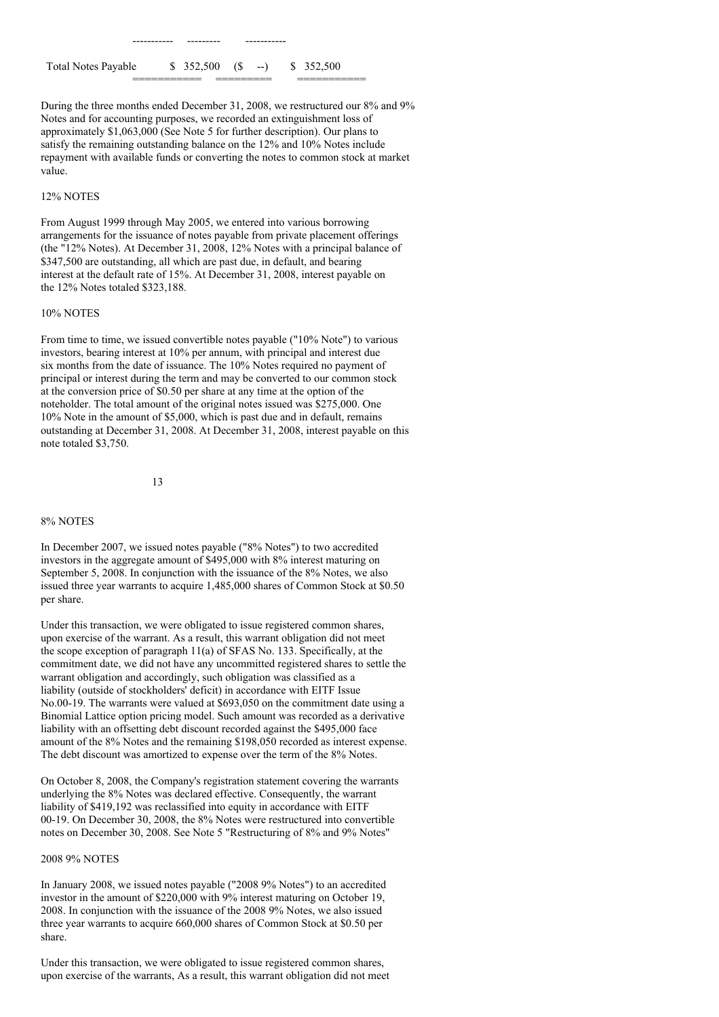Total Notes Payable \$ 352,500 (\$ --) \$ 352,500

----------- --------- -----------

During the three months ended December 31, 2008, we restructured our 8% and 9% Notes and for accounting purposes, we recorded an extinguishment loss of approximately \$1,063,000 (See Note 5 for further description). Our plans to satisfy the remaining outstanding balance on the 12% and 10% Notes include repayment with available funds or converting the notes to common stock at market value.

=========== ========= ===========

#### 12% NOTES

From August 1999 through May 2005, we entered into various borrowing arrangements for the issuance of notes payable from private placement offerings (the "12% Notes). At December 31, 2008, 12% Notes with a principal balance of \$347,500 are outstanding, all which are past due, in default, and bearing interest at the default rate of 15%. At December 31, 2008, interest payable on the 12% Notes totaled \$323,188.

### 10% NOTES

From time to time, we issued convertible notes payable ("10% Note") to various investors, bearing interest at 10% per annum, with principal and interest due six months from the date of issuance. The 10% Notes required no payment of principal or interest during the term and may be converted to our common stock at the conversion price of \$0.50 per share at any time at the option of the noteholder. The total amount of the original notes issued was \$275,000. One 10% Note in the amount of \$5,000, which is past due and in default, remains outstanding at December 31, 2008. At December 31, 2008, interest payable on this note totaled \$3,750.

13

#### 8% NOTES

In December 2007, we issued notes payable ("8% Notes") to two accredited investors in the aggregate amount of \$495,000 with 8% interest maturing on September 5, 2008. In conjunction with the issuance of the 8% Notes, we also issued three year warrants to acquire 1,485,000 shares of Common Stock at \$0.50 per share.

Under this transaction, we were obligated to issue registered common shares, upon exercise of the warrant. As a result, this warrant obligation did not meet the scope exception of paragraph 11(a) of SFAS No. 133. Specifically, at the commitment date, we did not have any uncommitted registered shares to settle the warrant obligation and accordingly, such obligation was classified as a liability (outside of stockholders' deficit) in accordance with EITF Issue No.00-19. The warrants were valued at \$693,050 on the commitment date using a Binomial Lattice option pricing model. Such amount was recorded as a derivative liability with an offsetting debt discount recorded against the \$495,000 face amount of the 8% Notes and the remaining \$198,050 recorded as interest expense. The debt discount was amortized to expense over the term of the 8% Notes.

On October 8, 2008, the Company's registration statement covering the warrants underlying the 8% Notes was declared effective. Consequently, the warrant liability of \$419,192 was reclassified into equity in accordance with EITF 00-19. On December 30, 2008, the 8% Notes were restructured into convertible notes on December 30, 2008. See Note 5 "Restructuring of 8% and 9% Notes"

#### 2008 9% NOTES

In January 2008, we issued notes payable ("2008 9% Notes") to an accredited investor in the amount of \$220,000 with 9% interest maturing on October 19, 2008. In conjunction with the issuance of the 2008 9% Notes, we also issued three year warrants to acquire 660,000 shares of Common Stock at \$0.50 per share.

Under this transaction, we were obligated to issue registered common shares, upon exercise of the warrants, As a result, this warrant obligation did not meet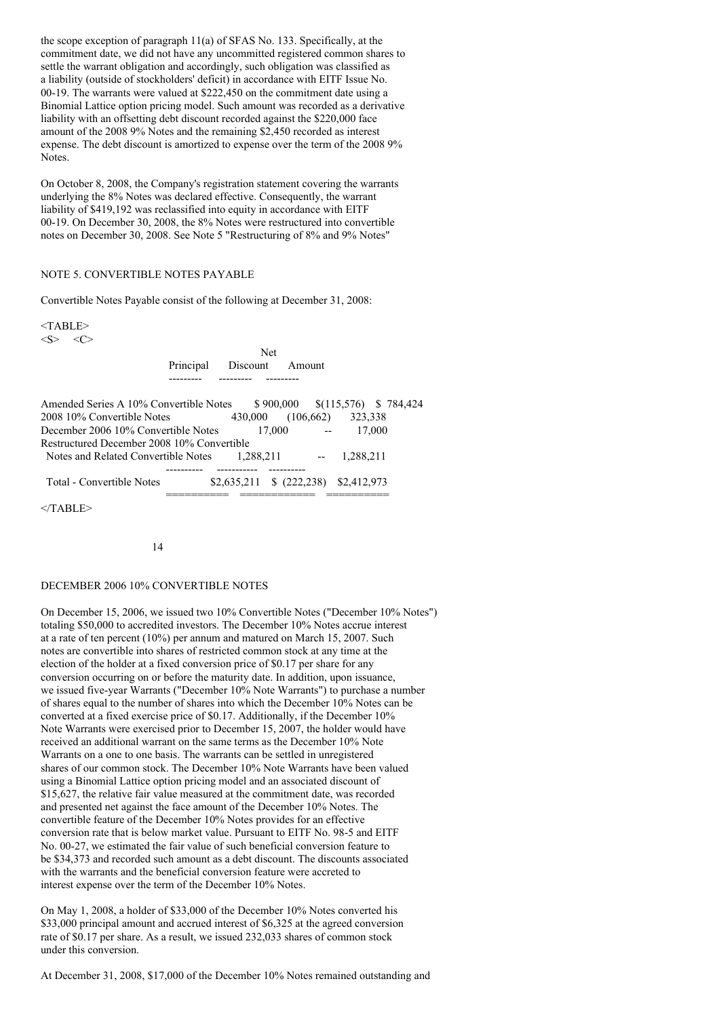the scope exception of paragraph 11(a) of SFAS No. 133. Specifically, at the commitment date, we did not have any uncommitted registered common shares to settle the warrant obligation and accordingly, such obligation was classified as a liability (outside of stockholders' deficit) in accordance with EITF Issue No. 00-19. The warrants were valued at \$222,450 on the commitment date using a Binomial Lattice option pricing model. Such amount was recorded as a derivative liability with an offsetting debt discount recorded against the \$220,000 face amount of the 2008 9% Notes and the remaining \$2,450 recorded as interest expense. The debt discount is amortized to expense over the term of the 2008 9% **Notes**.

On October 8, 2008, the Company's registration statement covering the warrants underlying the 8% Notes was declared effective. Consequently, the warrant liability of \$419,192 was reclassified into equity in accordance with EITF 00-19. On December 30, 2008, the 8% Notes were restructured into convertible notes on December 30, 2008. See Note 5 "Restructuring of 8% and 9% Notes"

### NOTE 5. CONVERTIBLE NOTES PAYABLE

Convertible Notes Payable consist of the following at December 31, 2008:

 $<$ TABLE $>$  $\langle S \rangle$   $\langle C \rangle$ 

> Net Principal Discount Amount --------- --------- ---------

| Amended Series A 10% Convertible Notes     |             | $$900,000 \quad $(115,576) \quad $784,424$ |           |  |
|--------------------------------------------|-------------|--------------------------------------------|-----------|--|
| 2008 10% Convertible Notes                 | 430,000     | (106.662)                                  | 323,338   |  |
| December 2006 10% Convertible Notes        | 17.000      |                                            | 17,000    |  |
| Restructured December 2008 10% Convertible |             |                                            |           |  |
| Notes and Related Convertible Notes        | 1.288.211   |                                            | 1.288.211 |  |
| Total - Convertible Notes                  | \$2,635,211 | $$ (222, 238)$ $$2, 412, 973$              |           |  |
| $\sqrt{m}$ and $m$ .                       |             |                                            |           |  |

 $<$ TABLE>

14

#### DECEMBER 2006 10% CONVERTIBLE NOTES

On December 15, 2006, we issued two 10% Convertible Notes ("December 10% Notes") totaling \$50,000 to accredited investors. The December 10% Notes accrue interest at a rate of ten percent (10%) per annum and matured on March 15, 2007. Such notes are convertible into shares of restricted common stock at any time at the election of the holder at a fixed conversion price of \$0.17 per share for any conversion occurring on or before the maturity date. In addition, upon issuance, we issued five-year Warrants ("December 10% Note Warrants") to purchase a number of shares equal to the number of shares into which the December 10% Notes can be converted at a fixed exercise price of \$0.17. Additionally, if the December 10% Note Warrants were exercised prior to December 15, 2007, the holder would have received an additional warrant on the same terms as the December 10% Note Warrants on a one to one basis. The warrants can be settled in unregistered shares of our common stock. The December 10% Note Warrants have been valued using a Binomial Lattice option pricing model and an associated discount of \$15,627, the relative fair value measured at the commitment date, was recorded and presented net against the face amount of the December 10% Notes. The convertible feature of the December 10% Notes provides for an effective conversion rate that is below market value. Pursuant to EITF No. 98-5 and EITF No. 00-27, we estimated the fair value of such beneficial conversion feature to be \$34,373 and recorded such amount as a debt discount. The discounts associated with the warrants and the beneficial conversion feature were accreted to interest expense over the term of the December 10% Notes.

On May 1, 2008, a holder of \$33,000 of the December 10% Notes converted his \$33,000 principal amount and accrued interest of \$6,325 at the agreed conversion rate of \$0.17 per share. As a result, we issued 232,033 shares of common stock under this conversion.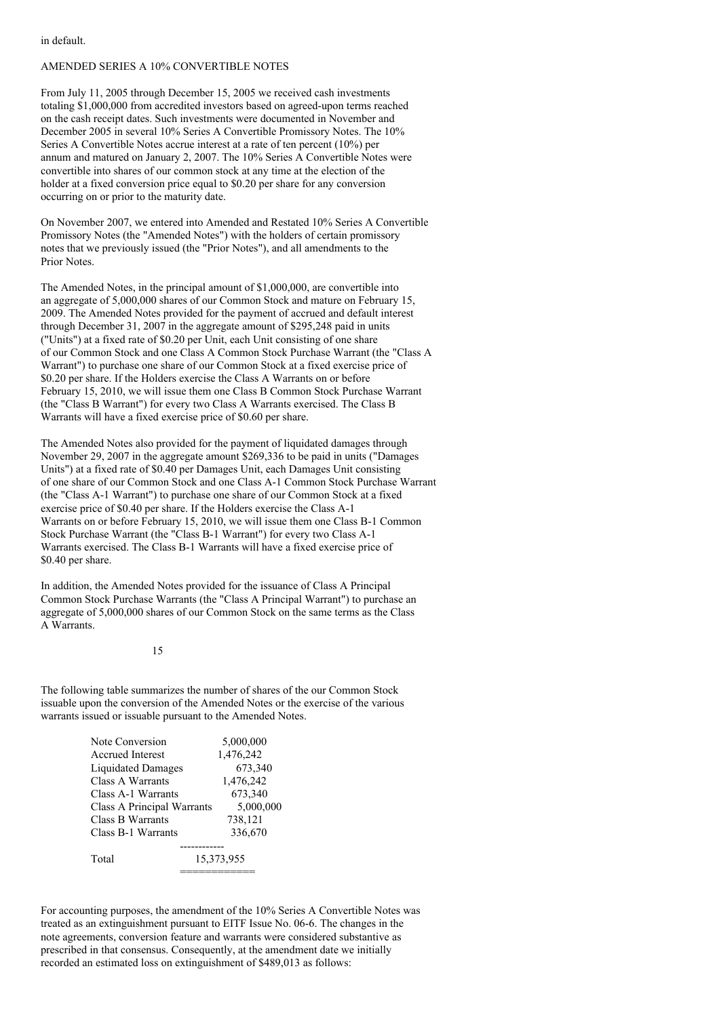in default.

### AMENDED SERIES A 10% CONVERTIBLE NOTES

From July 11, 2005 through December 15, 2005 we received cash investments totaling \$1,000,000 from accredited investors based on agreed-upon terms reached on the cash receipt dates. Such investments were documented in November and December 2005 in several 10% Series A Convertible Promissory Notes. The 10% Series A Convertible Notes accrue interest at a rate of ten percent (10%) per annum and matured on January 2, 2007. The 10% Series A Convertible Notes were convertible into shares of our common stock at any time at the election of the holder at a fixed conversion price equal to \$0.20 per share for any conversion occurring on or prior to the maturity date.

On November 2007, we entered into Amended and Restated 10% Series A Convertible Promissory Notes (the "Amended Notes") with the holders of certain promissory notes that we previously issued (the "Prior Notes"), and all amendments to the Prior Notes.

The Amended Notes, in the principal amount of \$1,000,000, are convertible into an aggregate of 5,000,000 shares of our Common Stock and mature on February 15, 2009. The Amended Notes provided for the payment of accrued and default interest through December 31, 2007 in the aggregate amount of \$295,248 paid in units ("Units") at a fixed rate of \$0.20 per Unit, each Unit consisting of one share of our Common Stock and one Class A Common Stock Purchase Warrant (the "Class A Warrant") to purchase one share of our Common Stock at a fixed exercise price of \$0.20 per share. If the Holders exercise the Class A Warrants on or before February 15, 2010, we will issue them one Class B Common Stock Purchase Warrant (the "Class B Warrant") for every two Class A Warrants exercised. The Class B Warrants will have a fixed exercise price of \$0.60 per share.

The Amended Notes also provided for the payment of liquidated damages through November 29, 2007 in the aggregate amount \$269,336 to be paid in units ("Damages Units") at a fixed rate of \$0.40 per Damages Unit, each Damages Unit consisting of one share of our Common Stock and one Class A-1 Common Stock Purchase Warrant (the "Class A-1 Warrant") to purchase one share of our Common Stock at a fixed exercise price of \$0.40 per share. If the Holders exercise the Class A-1 Warrants on or before February 15, 2010, we will issue them one Class B-1 Common Stock Purchase Warrant (the "Class B-1 Warrant") for every two Class A-1 Warrants exercised. The Class B-1 Warrants will have a fixed exercise price of \$0.40 per share.

In addition, the Amended Notes provided for the issuance of Class A Principal Common Stock Purchase Warrants (the "Class A Principal Warrant") to purchase an aggregate of 5,000,000 shares of our Common Stock on the same terms as the Class A Warrants.

15

The following table summarizes the number of shares of the our Common Stock issuable upon the conversion of the Amended Notes or the exercise of the various warrants issued or issuable pursuant to the Amended Notes.

| Note Conversion            | 5,000,000  |
|----------------------------|------------|
| Accrued Interest           | 1,476,242  |
| <b>Liquidated Damages</b>  | 673,340    |
| Class A Warrants           | 1,476,242  |
| Class A-1 Warrants         | 673,340    |
| Class A Principal Warrants | 5,000,000  |
| Class B Warrants           | 738,121    |
| Class B-1 Warrants         | 336,670    |
|                            |            |
| Total                      | 15,373,955 |
|                            |            |

For accounting purposes, the amendment of the 10% Series A Convertible Notes was treated as an extinguishment pursuant to EITF Issue No. 06-6. The changes in the note agreements, conversion feature and warrants were considered substantive as prescribed in that consensus. Consequently, at the amendment date we initially recorded an estimated loss on extinguishment of \$489,013 as follows: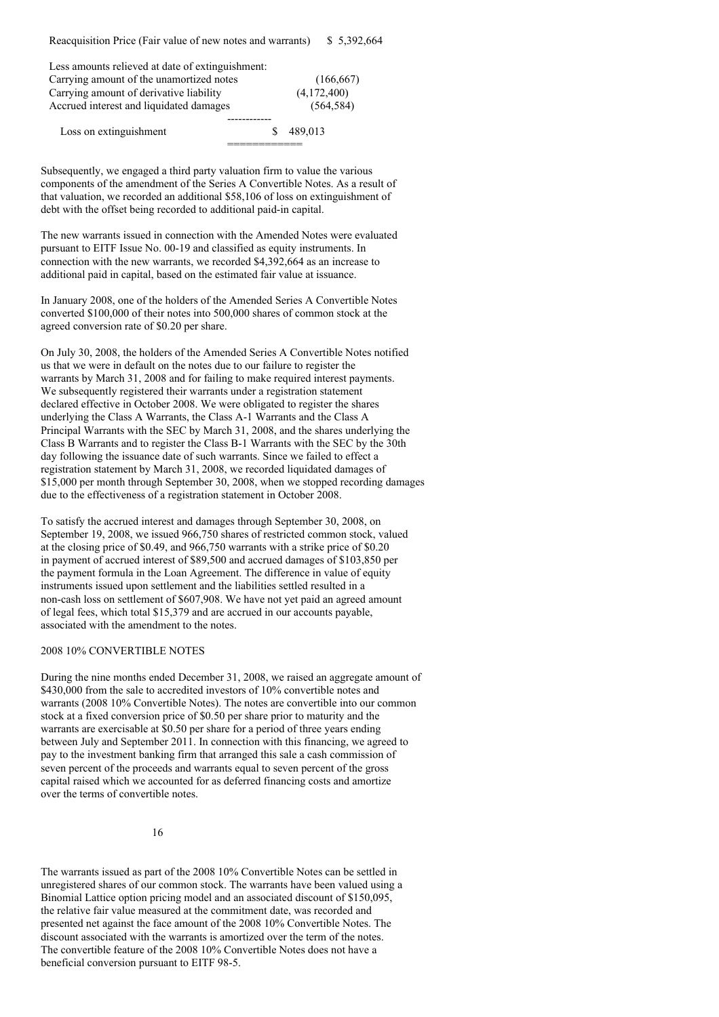| Less amounts relieved at date of extinguishment: |    |             |
|--------------------------------------------------|----|-------------|
| Carrying amount of the unamortized notes         |    | (166, 667)  |
| Carrying amount of derivative liability          |    | (4,172,400) |
| Accrued interest and liquidated damages          |    | (564, 584)  |
|                                                  |    |             |
| Loss on extinguishment                           | £. | 489.013     |
|                                                  |    |             |

Subsequently, we engaged a third party valuation firm to value the various components of the amendment of the Series A Convertible Notes. As a result of that valuation, we recorded an additional \$58,106 of loss on extinguishment of debt with the offset being recorded to additional paid-in capital.

The new warrants issued in connection with the Amended Notes were evaluated pursuant to EITF Issue No. 00-19 and classified as equity instruments. In connection with the new warrants, we recorded \$4,392,664 as an increase to additional paid in capital, based on the estimated fair value at issuance.

In January 2008, one of the holders of the Amended Series A Convertible Notes converted \$100,000 of their notes into 500,000 shares of common stock at the agreed conversion rate of \$0.20 per share.

On July 30, 2008, the holders of the Amended Series A Convertible Notes notified us that we were in default on the notes due to our failure to register the warrants by March 31, 2008 and for failing to make required interest payments. We subsequently registered their warrants under a registration statement declared effective in October 2008. We were obligated to register the shares underlying the Class A Warrants, the Class A-1 Warrants and the Class A Principal Warrants with the SEC by March 31, 2008, and the shares underlying the Class B Warrants and to register the Class B-1 Warrants with the SEC by the 30th day following the issuance date of such warrants. Since we failed to effect a registration statement by March 31, 2008, we recorded liquidated damages of \$15,000 per month through September 30, 2008, when we stopped recording damages due to the effectiveness of a registration statement in October 2008.

To satisfy the accrued interest and damages through September 30, 2008, on September 19, 2008, we issued 966,750 shares of restricted common stock, valued at the closing price of \$0.49, and 966,750 warrants with a strike price of \$0.20 in payment of accrued interest of \$89,500 and accrued damages of \$103,850 per the payment formula in the Loan Agreement. The difference in value of equity instruments issued upon settlement and the liabilities settled resulted in a non-cash loss on settlement of \$607,908. We have not yet paid an agreed amount of legal fees, which total \$15,379 and are accrued in our accounts payable, associated with the amendment to the notes.

#### 2008 10% CONVERTIBLE NOTES

During the nine months ended December 31, 2008, we raised an aggregate amount of \$430,000 from the sale to accredited investors of 10% convertible notes and warrants (2008 10% Convertible Notes). The notes are convertible into our common stock at a fixed conversion price of \$0.50 per share prior to maturity and the warrants are exercisable at \$0.50 per share for a period of three years ending between July and September 2011. In connection with this financing, we agreed to pay to the investment banking firm that arranged this sale a cash commission of seven percent of the proceeds and warrants equal to seven percent of the gross capital raised which we accounted for as deferred financing costs and amortize over the terms of convertible notes.

16

The warrants issued as part of the 2008 10% Convertible Notes can be settled in unregistered shares of our common stock. The warrants have been valued using a Binomial Lattice option pricing model and an associated discount of \$150,095, the relative fair value measured at the commitment date, was recorded and presented net against the face amount of the 2008 10% Convertible Notes. The discount associated with the warrants is amortized over the term of the notes. The convertible feature of the 2008 10% Convertible Notes does not have a beneficial conversion pursuant to EITF 98-5.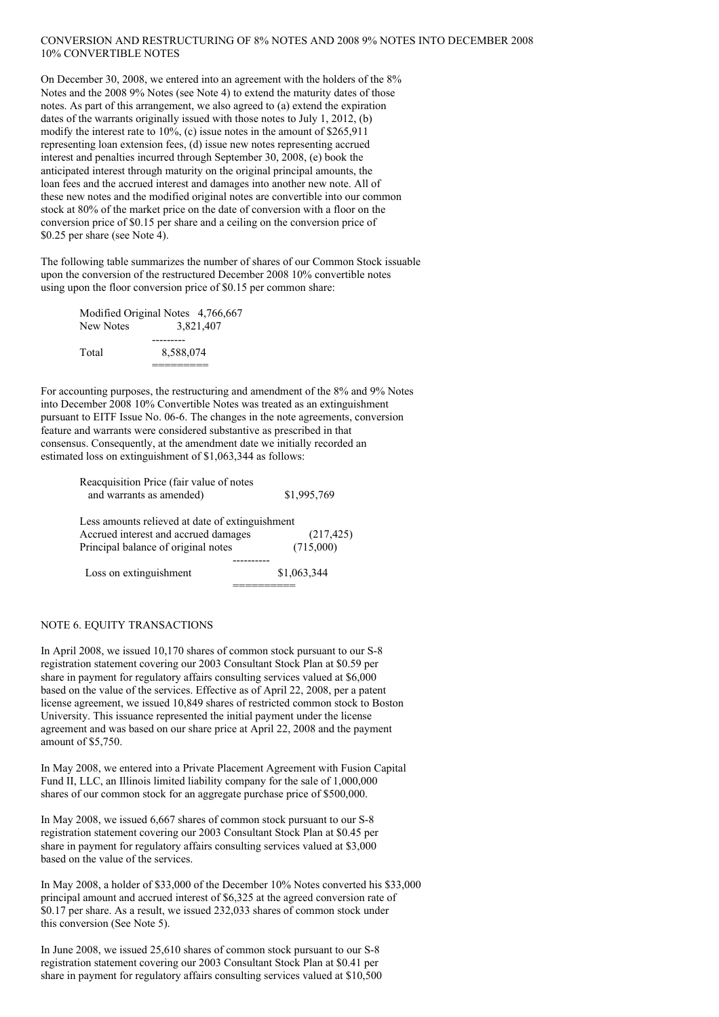### CONVERSION AND RESTRUCTURING OF 8% NOTES AND 2008 9% NOTES INTO DECEMBER 2008 10% CONVERTIBLE NOTES

On December 30, 2008, we entered into an agreement with the holders of the 8% Notes and the 2008 9% Notes (see Note 4) to extend the maturity dates of those notes. As part of this arrangement, we also agreed to (a) extend the expiration dates of the warrants originally issued with those notes to July 1, 2012, (b) modify the interest rate to 10%, (c) issue notes in the amount of \$265,911 representing loan extension fees, (d) issue new notes representing accrued interest and penalties incurred through September 30, 2008, (e) book the anticipated interest through maturity on the original principal amounts, the loan fees and the accrued interest and damages into another new note. All of these new notes and the modified original notes are convertible into our common stock at 80% of the market price on the date of conversion with a floor on the conversion price of \$0.15 per share and a ceiling on the conversion price of \$0.25 per share (see Note 4).

The following table summarizes the number of shares of our Common Stock issuable upon the conversion of the restructured December 2008 10% convertible notes using upon the floor conversion price of \$0.15 per common share:

| Modified Original Notes 4,766,667 |           |           |
|-----------------------------------|-----------|-----------|
| New Notes                         |           | 3.821.407 |
|                                   |           |           |
| Total                             | 8.588.074 |           |
|                                   |           |           |

For accounting purposes, the restructuring and amendment of the 8% and 9% Notes into December 2008 10% Convertible Notes was treated as an extinguishment pursuant to EITF Issue No. 06-6. The changes in the note agreements, conversion feature and warrants were considered substantive as prescribed in that consensus. Consequently, at the amendment date we initially recorded an estimated loss on extinguishment of \$1,063,344 as follows:

| Reacquisition Price (fair value of notes        |             |
|-------------------------------------------------|-------------|
| and warrants as amended)                        | \$1,995,769 |
| Less amounts relieved at date of extinguishment |             |
| Accrued interest and accrued damages            | (217, 425)  |
| Principal balance of original notes             | (715,000)   |
|                                                 |             |
| Loss on extinguishment                          | \$1,063,344 |
|                                                 |             |

### NOTE 6. EQUITY TRANSACTIONS

In April 2008, we issued 10,170 shares of common stock pursuant to our S-8 registration statement covering our 2003 Consultant Stock Plan at \$0.59 per share in payment for regulatory affairs consulting services valued at \$6,000 based on the value of the services. Effective as of April 22, 2008, per a patent license agreement, we issued 10,849 shares of restricted common stock to Boston University. This issuance represented the initial payment under the license agreement and was based on our share price at April 22, 2008 and the payment amount of \$5,750.

In May 2008, we entered into a Private Placement Agreement with Fusion Capital Fund II, LLC, an Illinois limited liability company for the sale of 1,000,000 shares of our common stock for an aggregate purchase price of \$500,000.

In May 2008, we issued 6,667 shares of common stock pursuant to our S-8 registration statement covering our 2003 Consultant Stock Plan at \$0.45 per share in payment for regulatory affairs consulting services valued at \$3,000 based on the value of the services.

In May 2008, a holder of \$33,000 of the December 10% Notes converted his \$33,000 principal amount and accrued interest of \$6,325 at the agreed conversion rate of \$0.17 per share. As a result, we issued 232,033 shares of common stock under this conversion (See Note 5).

In June 2008, we issued 25,610 shares of common stock pursuant to our S-8 registration statement covering our 2003 Consultant Stock Plan at \$0.41 per share in payment for regulatory affairs consulting services valued at \$10,500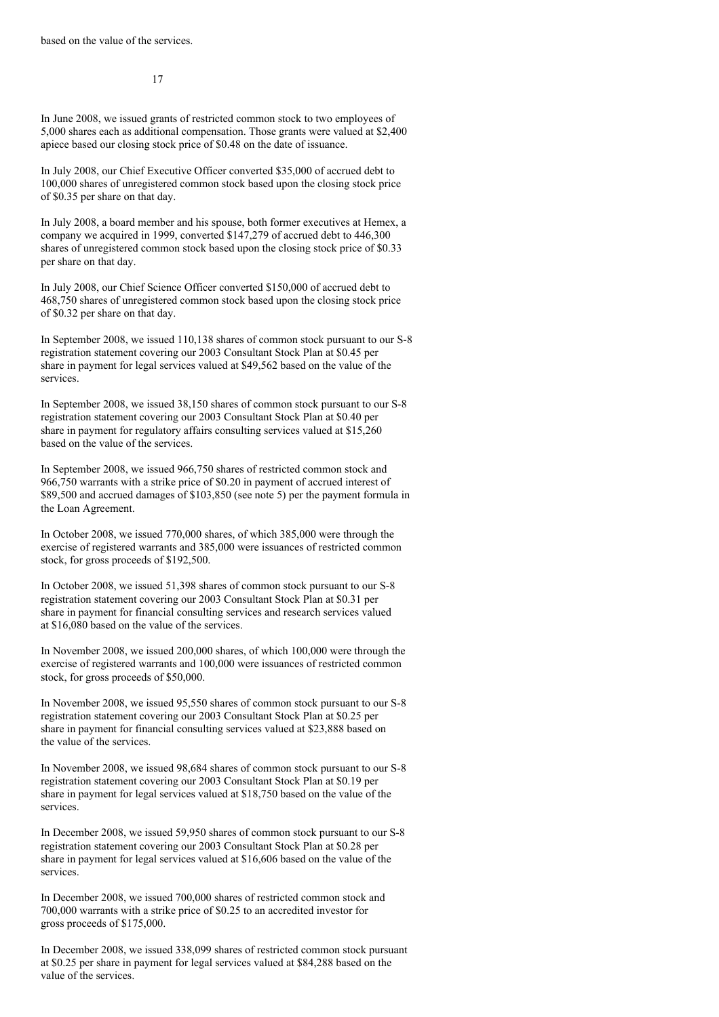17

In June 2008, we issued grants of restricted common stock to two employees of 5,000 shares each as additional compensation. Those grants were valued at \$2,400 apiece based our closing stock price of \$0.48 on the date of issuance.

In July 2008, our Chief Executive Officer converted \$35,000 of accrued debt to 100,000 shares of unregistered common stock based upon the closing stock price of \$0.35 per share on that day.

In July 2008, a board member and his spouse, both former executives at Hemex, a company we acquired in 1999, converted \$147,279 of accrued debt to 446,300 shares of unregistered common stock based upon the closing stock price of \$0.33 per share on that day.

In July 2008, our Chief Science Officer converted \$150,000 of accrued debt to 468,750 shares of unregistered common stock based upon the closing stock price of \$0.32 per share on that day.

In September 2008, we issued 110,138 shares of common stock pursuant to our S-8 registration statement covering our 2003 Consultant Stock Plan at \$0.45 per share in payment for legal services valued at \$49,562 based on the value of the services.

In September 2008, we issued 38,150 shares of common stock pursuant to our S-8 registration statement covering our 2003 Consultant Stock Plan at \$0.40 per share in payment for regulatory affairs consulting services valued at \$15,260 based on the value of the services.

In September 2008, we issued 966,750 shares of restricted common stock and 966,750 warrants with a strike price of \$0.20 in payment of accrued interest of \$89,500 and accrued damages of \$103,850 (see note 5) per the payment formula in the Loan Agreement.

In October 2008, we issued 770,000 shares, of which 385,000 were through the exercise of registered warrants and 385,000 were issuances of restricted common stock, for gross proceeds of \$192,500.

In October 2008, we issued 51,398 shares of common stock pursuant to our S-8 registration statement covering our 2003 Consultant Stock Plan at \$0.31 per share in payment for financial consulting services and research services valued at \$16,080 based on the value of the services.

In November 2008, we issued 200,000 shares, of which 100,000 were through the exercise of registered warrants and 100,000 were issuances of restricted common stock, for gross proceeds of \$50,000.

In November 2008, we issued 95,550 shares of common stock pursuant to our S-8 registration statement covering our 2003 Consultant Stock Plan at \$0.25 per share in payment for financial consulting services valued at \$23,888 based on the value of the services.

In November 2008, we issued 98,684 shares of common stock pursuant to our S-8 registration statement covering our 2003 Consultant Stock Plan at \$0.19 per share in payment for legal services valued at \$18,750 based on the value of the services.

In December 2008, we issued 59,950 shares of common stock pursuant to our S-8 registration statement covering our 2003 Consultant Stock Plan at \$0.28 per share in payment for legal services valued at \$16,606 based on the value of the services.

In December 2008, we issued 700,000 shares of restricted common stock and 700,000 warrants with a strike price of \$0.25 to an accredited investor for gross proceeds of \$175,000.

In December 2008, we issued 338,099 shares of restricted common stock pursuant at \$0.25 per share in payment for legal services valued at \$84,288 based on the value of the services.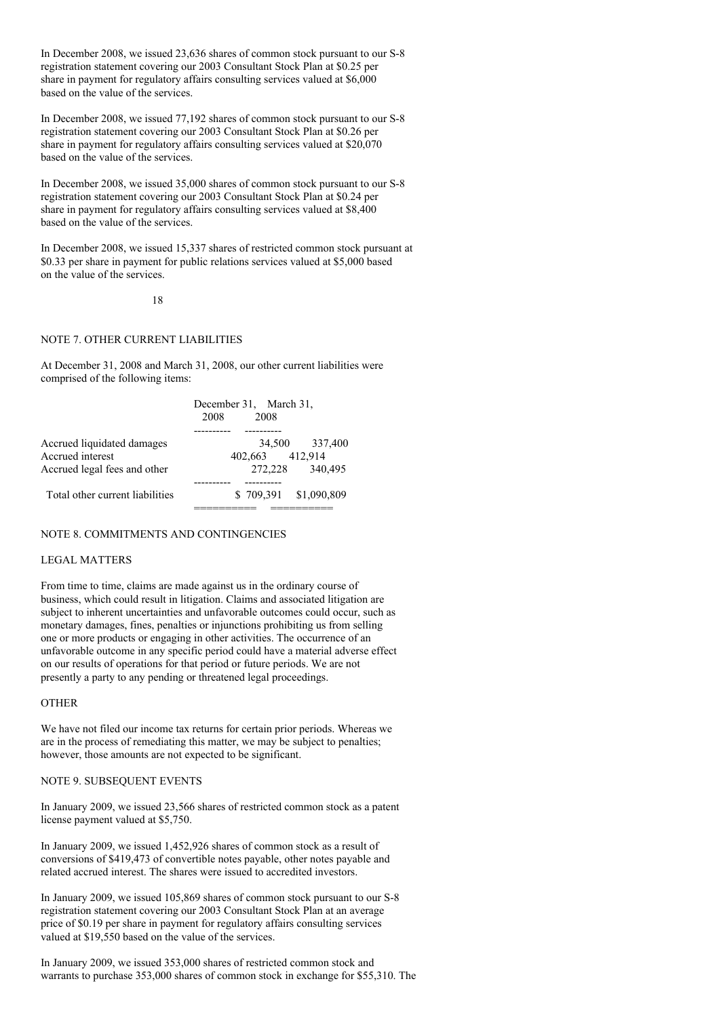In December 2008, we issued 23,636 shares of common stock pursuant to our S-8 registration statement covering our 2003 Consultant Stock Plan at \$0.25 per share in payment for regulatory affairs consulting services valued at \$6,000 based on the value of the services.

In December 2008, we issued 77,192 shares of common stock pursuant to our S-8 registration statement covering our 2003 Consultant Stock Plan at \$0.26 per share in payment for regulatory affairs consulting services valued at \$20,070 based on the value of the services.

In December 2008, we issued 35,000 shares of common stock pursuant to our S-8 registration statement covering our 2003 Consultant Stock Plan at \$0.24 per share in payment for regulatory affairs consulting services valued at \$8,400 based on the value of the services.

In December 2008, we issued 15,337 shares of restricted common stock pursuant at \$0.33 per share in payment for public relations services valued at \$5,000 based on the value of the services.

18

## NOTE 7. OTHER CURRENT LIABILITIES

At December 31, 2008 and March 31, 2008, our other current liabilities were comprised of the following items:

|                                 | 2008 | December 31, March 31,<br>2008 |                       |
|---------------------------------|------|--------------------------------|-----------------------|
|                                 |      |                                |                       |
| Accrued liquidated damages      |      |                                | 34,500 337,400        |
| Accrued interest                |      | 402,663                        | 412.914               |
| Accrued legal fees and other    |      | 272,228                        | 340,495               |
|                                 |      |                                |                       |
| Total other current liabilities |      |                                | \$709,391 \$1,090,809 |
|                                 |      |                                |                       |

### NOTE 8. COMMITMENTS AND CONTINGENCIES

### LEGAL MATTERS

From time to time, claims are made against us in the ordinary course of business, which could result in litigation. Claims and associated litigation are subject to inherent uncertainties and unfavorable outcomes could occur, such as monetary damages, fines, penalties or injunctions prohibiting us from selling one or more products or engaging in other activities. The occurrence of an unfavorable outcome in any specific period could have a material adverse effect on our results of operations for that period or future periods. We are not presently a party to any pending or threatened legal proceedings.

#### **OTHER**

We have not filed our income tax returns for certain prior periods. Whereas we are in the process of remediating this matter, we may be subject to penalties; however, those amounts are not expected to be significant.

#### NOTE 9. SUBSEQUENT EVENTS

In January 2009, we issued 23,566 shares of restricted common stock as a patent license payment valued at \$5,750.

In January 2009, we issued 1,452,926 shares of common stock as a result of conversions of \$419,473 of convertible notes payable, other notes payable and related accrued interest. The shares were issued to accredited investors.

In January 2009, we issued 105,869 shares of common stock pursuant to our S-8 registration statement covering our 2003 Consultant Stock Plan at an average price of \$0.19 per share in payment for regulatory affairs consulting services valued at \$19,550 based on the value of the services.

In January 2009, we issued 353,000 shares of restricted common stock and warrants to purchase 353,000 shares of common stock in exchange for \$55,310. The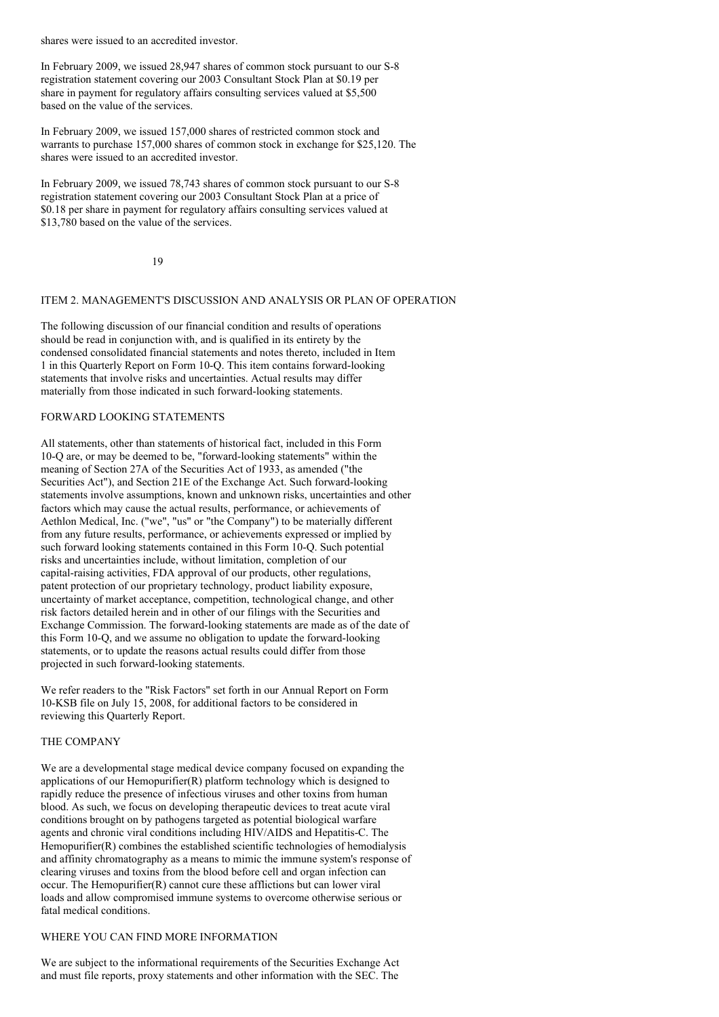shares were issued to an accredited investor.

In February 2009, we issued 28,947 shares of common stock pursuant to our S-8 registration statement covering our 2003 Consultant Stock Plan at \$0.19 per share in payment for regulatory affairs consulting services valued at \$5,500 based on the value of the services.

In February 2009, we issued 157,000 shares of restricted common stock and warrants to purchase 157,000 shares of common stock in exchange for \$25,120. The shares were issued to an accredited investor.

In February 2009, we issued 78,743 shares of common stock pursuant to our S-8 registration statement covering our 2003 Consultant Stock Plan at a price of \$0.18 per share in payment for regulatory affairs consulting services valued at \$13,780 based on the value of the services.

19

# ITEM 2. MANAGEMENT'S DISCUSSION AND ANALYSIS OR PLAN OF OPERATION

The following discussion of our financial condition and results of operations should be read in conjunction with, and is qualified in its entirety by the condensed consolidated financial statements and notes thereto, included in Item 1 in this Quarterly Report on Form 10-Q. This item contains forward-looking statements that involve risks and uncertainties. Actual results may differ materially from those indicated in such forward-looking statements.

### FORWARD LOOKING STATEMENTS

All statements, other than statements of historical fact, included in this Form 10-Q are, or may be deemed to be, "forward-looking statements" within the meaning of Section 27A of the Securities Act of 1933, as amended ("the Securities Act"), and Section 21E of the Exchange Act. Such forward-looking statements involve assumptions, known and unknown risks, uncertainties and other factors which may cause the actual results, performance, or achievements of Aethlon Medical, Inc. ("we", "us" or "the Company") to be materially different from any future results, performance, or achievements expressed or implied by such forward looking statements contained in this Form 10-Q. Such potential risks and uncertainties include, without limitation, completion of our capital-raising activities, FDA approval of our products, other regulations, patent protection of our proprietary technology, product liability exposure, uncertainty of market acceptance, competition, technological change, and other risk factors detailed herein and in other of our filings with the Securities and Exchange Commission. The forward-looking statements are made as of the date of this Form 10-Q, and we assume no obligation to update the forward-looking statements, or to update the reasons actual results could differ from those projected in such forward-looking statements.

We refer readers to the "Risk Factors" set forth in our Annual Report on Form 10-KSB file on July 15, 2008, for additional factors to be considered in reviewing this Quarterly Report.

### THE COMPANY

We are a developmental stage medical device company focused on expanding the applications of our Hemopurifier(R) platform technology which is designed to rapidly reduce the presence of infectious viruses and other toxins from human blood. As such, we focus on developing therapeutic devices to treat acute viral conditions brought on by pathogens targeted as potential biological warfare agents and chronic viral conditions including HIV/AIDS and Hepatitis-C. The Hemopurifier(R) combines the established scientific technologies of hemodialysis and affinity chromatography as a means to mimic the immune system's response of clearing viruses and toxins from the blood before cell and organ infection can occur. The Hemopurifier(R) cannot cure these afflictions but can lower viral loads and allow compromised immune systems to overcome otherwise serious or fatal medical conditions.

## WHERE YOU CAN FIND MORE INFORMATION

We are subject to the informational requirements of the Securities Exchange Act and must file reports, proxy statements and other information with the SEC. The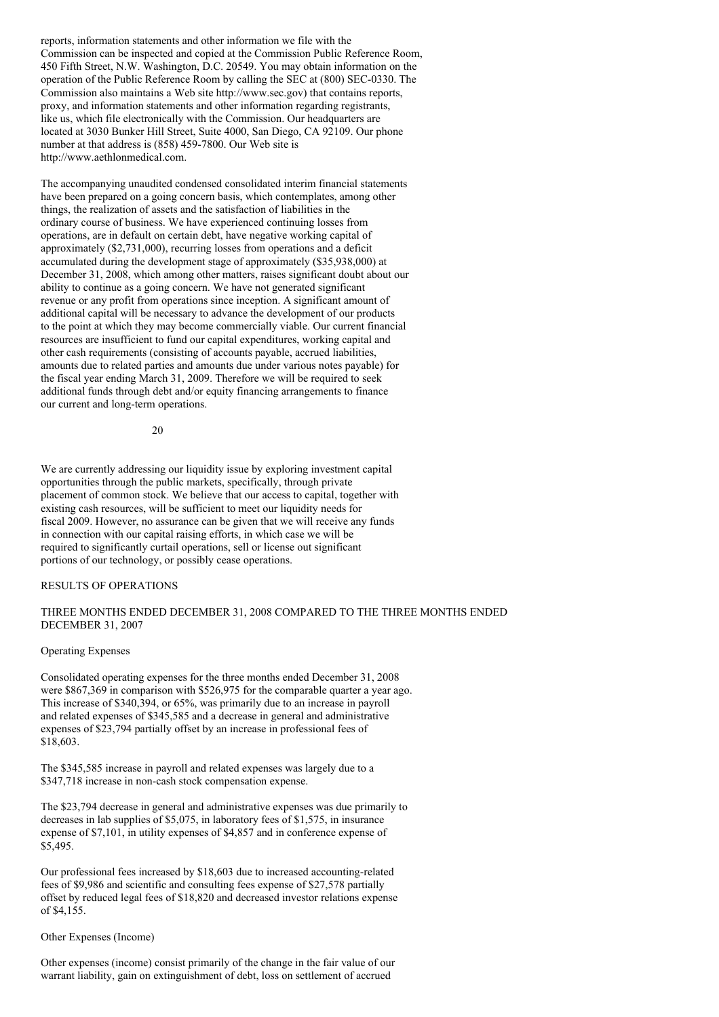reports, information statements and other information we file with the Commission can be inspected and copied at the Commission Public Reference Room, 450 Fifth Street, N.W. Washington, D.C. 20549. You may obtain information on the operation of the Public Reference Room by calling the SEC at (800) SEC-0330. The Commission also maintains a Web site http://www.sec.gov) that contains reports, proxy, and information statements and other information regarding registrants, like us, which file electronically with the Commission. Our headquarters are located at 3030 Bunker Hill Street, Suite 4000, San Diego, CA 92109. Our phone number at that address is (858) 459-7800. Our Web site is http://www.aethlonmedical.com.

The accompanying unaudited condensed consolidated interim financial statements have been prepared on a going concern basis, which contemplates, among other things, the realization of assets and the satisfaction of liabilities in the ordinary course of business. We have experienced continuing losses from operations, are in default on certain debt, have negative working capital of approximately (\$2,731,000), recurring losses from operations and a deficit accumulated during the development stage of approximately (\$35,938,000) at December 31, 2008, which among other matters, raises significant doubt about our ability to continue as a going concern. We have not generated significant revenue or any profit from operations since inception. A significant amount of additional capital will be necessary to advance the development of our products to the point at which they may become commercially viable. Our current financial resources are insufficient to fund our capital expenditures, working capital and other cash requirements (consisting of accounts payable, accrued liabilities, amounts due to related parties and amounts due under various notes payable) for the fiscal year ending March 31, 2009. Therefore we will be required to seek additional funds through debt and/or equity financing arrangements to finance our current and long-term operations.

20

We are currently addressing our liquidity issue by exploring investment capital opportunities through the public markets, specifically, through private placement of common stock. We believe that our access to capital, together with existing cash resources, will be sufficient to meet our liquidity needs for fiscal 2009. However, no assurance can be given that we will receive any funds in connection with our capital raising efforts, in which case we will be required to significantly curtail operations, sell or license out significant portions of our technology, or possibly cease operations.

#### RESULTS OF OPERATIONS

### THREE MONTHS ENDED DECEMBER 31, 2008 COMPARED TO THE THREE MONTHS ENDED DECEMBER 31, 2007

#### Operating Expenses

Consolidated operating expenses for the three months ended December 31, 2008 were \$867,369 in comparison with \$526,975 for the comparable quarter a year ago. This increase of \$340,394, or 65%, was primarily due to an increase in payroll and related expenses of \$345,585 and a decrease in general and administrative expenses of \$23,794 partially offset by an increase in professional fees of \$18,603.

The \$345,585 increase in payroll and related expenses was largely due to a \$347,718 increase in non-cash stock compensation expense.

The \$23,794 decrease in general and administrative expenses was due primarily to decreases in lab supplies of \$5,075, in laboratory fees of \$1,575, in insurance expense of \$7,101, in utility expenses of \$4,857 and in conference expense of \$5,495.

Our professional fees increased by \$18,603 due to increased accounting-related fees of \$9,986 and scientific and consulting fees expense of \$27,578 partially offset by reduced legal fees of \$18,820 and decreased investor relations expense of \$4,155.

#### Other Expenses (Income)

Other expenses (income) consist primarily of the change in the fair value of our warrant liability, gain on extinguishment of debt, loss on settlement of accrued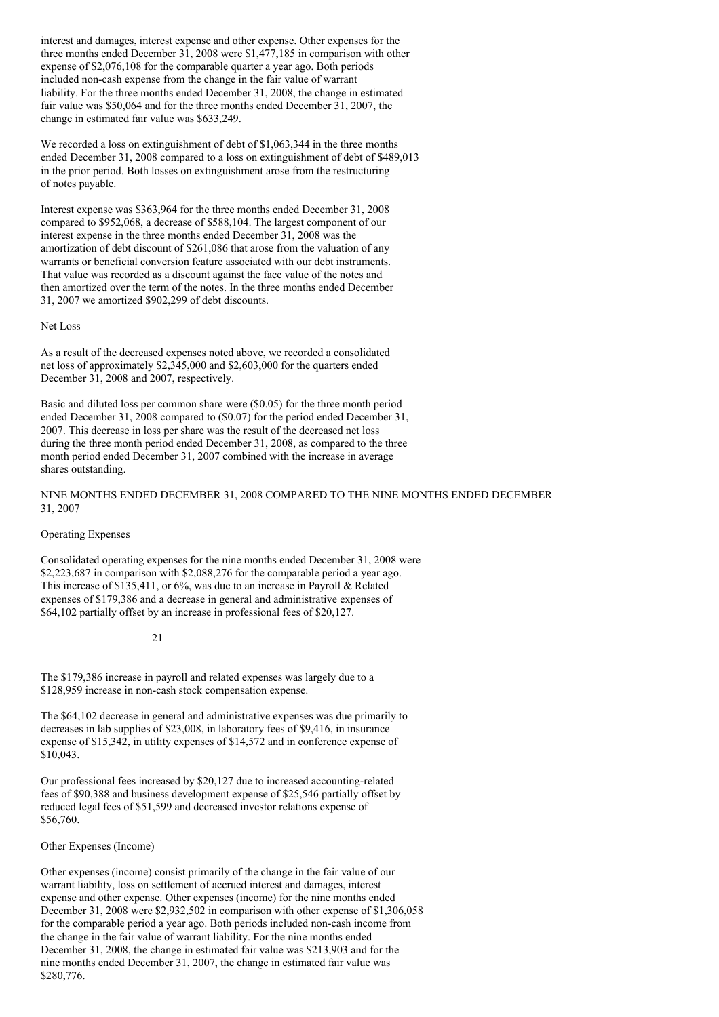interest and damages, interest expense and other expense. Other expenses for the three months ended December 31, 2008 were \$1,477,185 in comparison with other expense of \$2,076,108 for the comparable quarter a year ago. Both periods included non-cash expense from the change in the fair value of warrant liability. For the three months ended December 31, 2008, the change in estimated fair value was \$50,064 and for the three months ended December 31, 2007, the change in estimated fair value was \$633,249.

We recorded a loss on extinguishment of debt of \$1,063,344 in the three months ended December 31, 2008 compared to a loss on extinguishment of debt of \$489,013 in the prior period. Both losses on extinguishment arose from the restructuring of notes payable.

Interest expense was \$363,964 for the three months ended December 31, 2008 compared to \$952,068, a decrease of \$588,104. The largest component of our interest expense in the three months ended December 31, 2008 was the amortization of debt discount of \$261,086 that arose from the valuation of any warrants or beneficial conversion feature associated with our debt instruments. That value was recorded as a discount against the face value of the notes and then amortized over the term of the notes. In the three months ended December 31, 2007 we amortized \$902,299 of debt discounts.

### Net Loss

As a result of the decreased expenses noted above, we recorded a consolidated net loss of approximately \$2,345,000 and \$2,603,000 for the quarters ended December 31, 2008 and 2007, respectively.

Basic and diluted loss per common share were (\$0.05) for the three month period ended December 31, 2008 compared to (\$0.07) for the period ended December 31, 2007. This decrease in loss per share was the result of the decreased net loss during the three month period ended December 31, 2008, as compared to the three month period ended December 31, 2007 combined with the increase in average shares outstanding.

### NINE MONTHS ENDED DECEMBER 31, 2008 COMPARED TO THE NINE MONTHS ENDED DECEMBER 31, 2007

#### Operating Expenses

Consolidated operating expenses for the nine months ended December 31, 2008 were \$2,223,687 in comparison with \$2,088,276 for the comparable period a year ago. This increase of \$135,411, or 6%, was due to an increase in Payroll & Related expenses of \$179,386 and a decrease in general and administrative expenses of \$64,102 partially offset by an increase in professional fees of \$20,127.

### 21

The \$179,386 increase in payroll and related expenses was largely due to a \$128,959 increase in non-cash stock compensation expense.

The \$64,102 decrease in general and administrative expenses was due primarily to decreases in lab supplies of \$23,008, in laboratory fees of \$9,416, in insurance expense of \$15,342, in utility expenses of \$14,572 and in conference expense of \$10,043.

Our professional fees increased by \$20,127 due to increased accounting-related fees of \$90,388 and business development expense of \$25,546 partially offset by reduced legal fees of \$51,599 and decreased investor relations expense of \$56,760.

#### Other Expenses (Income)

Other expenses (income) consist primarily of the change in the fair value of our warrant liability, loss on settlement of accrued interest and damages, interest expense and other expense. Other expenses (income) for the nine months ended December 31, 2008 were \$2,932,502 in comparison with other expense of \$1,306,058 for the comparable period a year ago. Both periods included non-cash income from the change in the fair value of warrant liability. For the nine months ended December 31, 2008, the change in estimated fair value was \$213,903 and for the nine months ended December 31, 2007, the change in estimated fair value was \$280,776.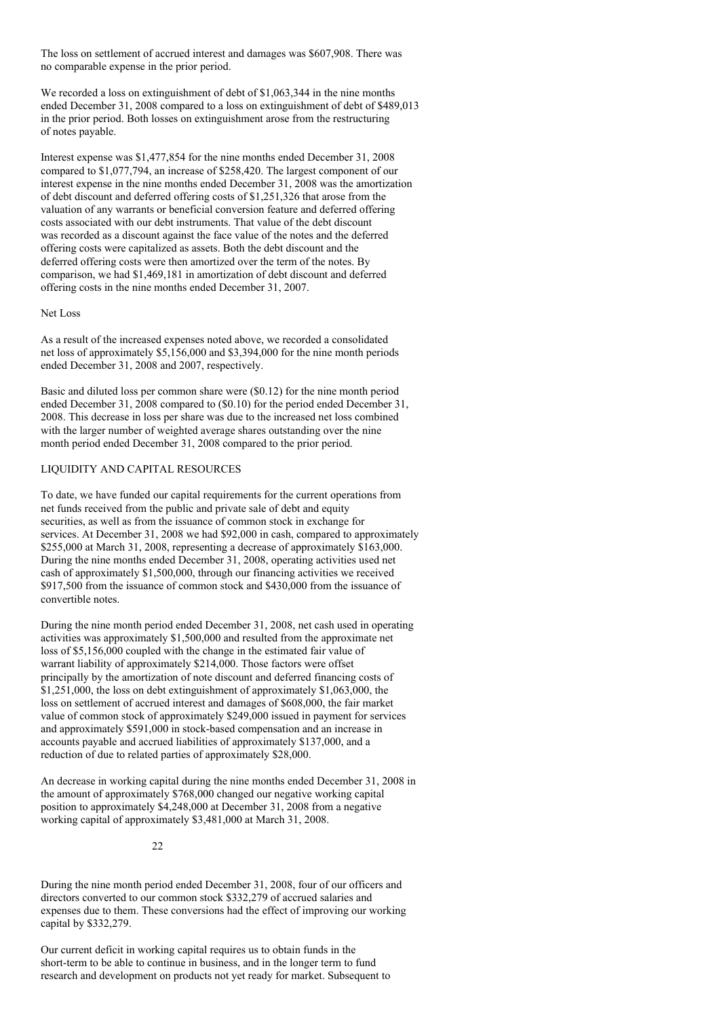The loss on settlement of accrued interest and damages was \$607,908. There was no comparable expense in the prior period.

We recorded a loss on extinguishment of debt of \$1,063,344 in the nine months ended December 31, 2008 compared to a loss on extinguishment of debt of \$489,013 in the prior period. Both losses on extinguishment arose from the restructuring of notes payable.

Interest expense was \$1,477,854 for the nine months ended December 31, 2008 compared to \$1,077,794, an increase of \$258,420. The largest component of our interest expense in the nine months ended December 31, 2008 was the amortization of debt discount and deferred offering costs of \$1,251,326 that arose from the valuation of any warrants or beneficial conversion feature and deferred offering costs associated with our debt instruments. That value of the debt discount was recorded as a discount against the face value of the notes and the deferred offering costs were capitalized as assets. Both the debt discount and the deferred offering costs were then amortized over the term of the notes. By comparison, we had \$1,469,181 in amortization of debt discount and deferred offering costs in the nine months ended December 31, 2007.

#### Net Loss

As a result of the increased expenses noted above, we recorded a consolidated net loss of approximately \$5,156,000 and \$3,394,000 for the nine month periods ended December 31, 2008 and 2007, respectively.

Basic and diluted loss per common share were (\$0.12) for the nine month period ended December 31, 2008 compared to (\$0.10) for the period ended December 31, 2008. This decrease in loss per share was due to the increased net loss combined with the larger number of weighted average shares outstanding over the nine month period ended December 31, 2008 compared to the prior period.

## LIQUIDITY AND CAPITAL RESOURCES

To date, we have funded our capital requirements for the current operations from net funds received from the public and private sale of debt and equity securities, as well as from the issuance of common stock in exchange for services. At December 31, 2008 we had \$92,000 in cash, compared to approximately \$255,000 at March 31, 2008, representing a decrease of approximately \$163,000. During the nine months ended December 31, 2008, operating activities used net cash of approximately \$1,500,000, through our financing activities we received \$917,500 from the issuance of common stock and \$430,000 from the issuance of convertible notes.

During the nine month period ended December 31, 2008, net cash used in operating activities was approximately \$1,500,000 and resulted from the approximate net loss of \$5,156,000 coupled with the change in the estimated fair value of warrant liability of approximately \$214,000. Those factors were offset principally by the amortization of note discount and deferred financing costs of \$1,251,000, the loss on debt extinguishment of approximately \$1,063,000, the loss on settlement of accrued interest and damages of \$608,000, the fair market value of common stock of approximately \$249,000 issued in payment for services and approximately \$591,000 in stock-based compensation and an increase in accounts payable and accrued liabilities of approximately \$137,000, and a reduction of due to related parties of approximately \$28,000.

An decrease in working capital during the nine months ended December 31, 2008 in the amount of approximately \$768,000 changed our negative working capital position to approximately \$4,248,000 at December 31, 2008 from a negative working capital of approximately \$3,481,000 at March 31, 2008.

22

During the nine month period ended December 31, 2008, four of our officers and directors converted to our common stock \$332,279 of accrued salaries and expenses due to them. These conversions had the effect of improving our working capital by \$332,279.

Our current deficit in working capital requires us to obtain funds in the short-term to be able to continue in business, and in the longer term to fund research and development on products not yet ready for market. Subsequent to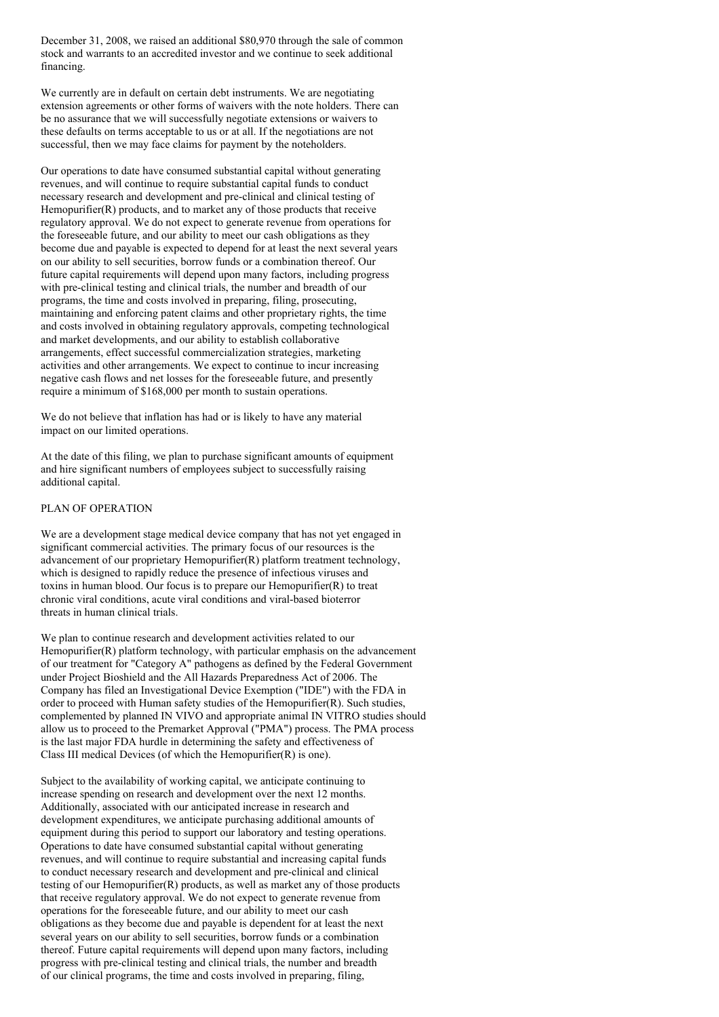December 31, 2008, we raised an additional \$80,970 through the sale of common stock and warrants to an accredited investor and we continue to seek additional financing.

We currently are in default on certain debt instruments. We are negotiating extension agreements or other forms of waivers with the note holders. There can be no assurance that we will successfully negotiate extensions or waivers to these defaults on terms acceptable to us or at all. If the negotiations are not successful, then we may face claims for payment by the noteholders.

Our operations to date have consumed substantial capital without generating revenues, and will continue to require substantial capital funds to conduct necessary research and development and pre-clinical and clinical testing of Hemopurifier(R) products, and to market any of those products that receive regulatory approval. We do not expect to generate revenue from operations for the foreseeable future, and our ability to meet our cash obligations as they become due and payable is expected to depend for at least the next several years on our ability to sell securities, borrow funds or a combination thereof. Our future capital requirements will depend upon many factors, including progress with pre-clinical testing and clinical trials, the number and breadth of our programs, the time and costs involved in preparing, filing, prosecuting, maintaining and enforcing patent claims and other proprietary rights, the time and costs involved in obtaining regulatory approvals, competing technological and market developments, and our ability to establish collaborative arrangements, effect successful commercialization strategies, marketing activities and other arrangements. We expect to continue to incur increasing negative cash flows and net losses for the foreseeable future, and presently require a minimum of \$168,000 per month to sustain operations.

We do not believe that inflation has had or is likely to have any material impact on our limited operations.

At the date of this filing, we plan to purchase significant amounts of equipment and hire significant numbers of employees subject to successfully raising additional capital.

### PLAN OF OPERATION

We are a development stage medical device company that has not yet engaged in significant commercial activities. The primary focus of our resources is the advancement of our proprietary Hemopurifier(R) platform treatment technology, which is designed to rapidly reduce the presence of infectious viruses and toxins in human blood. Our focus is to prepare our Hemopurifier(R) to treat chronic viral conditions, acute viral conditions and viral-based bioterror threats in human clinical trials.

We plan to continue research and development activities related to our Hemopurifier(R) platform technology, with particular emphasis on the advancement of our treatment for "Category A" pathogens as defined by the Federal Government under Project Bioshield and the All Hazards Preparedness Act of 2006. The Company has filed an Investigational Device Exemption ("IDE") with the FDA in order to proceed with Human safety studies of the Hemopurifier(R). Such studies, complemented by planned IN VIVO and appropriate animal IN VITRO studies should allow us to proceed to the Premarket Approval ("PMA") process. The PMA process is the last major FDA hurdle in determining the safety and effectiveness of Class III medical Devices (of which the Hemopurifier(R) is one).

Subject to the availability of working capital, we anticipate continuing to increase spending on research and development over the next 12 months. Additionally, associated with our anticipated increase in research and development expenditures, we anticipate purchasing additional amounts of equipment during this period to support our laboratory and testing operations. Operations to date have consumed substantial capital without generating revenues, and will continue to require substantial and increasing capital funds to conduct necessary research and development and pre-clinical and clinical testing of our Hemopurifier(R) products, as well as market any of those products that receive regulatory approval. We do not expect to generate revenue from operations for the foreseeable future, and our ability to meet our cash obligations as they become due and payable is dependent for at least the next several years on our ability to sell securities, borrow funds or a combination thereof. Future capital requirements will depend upon many factors, including progress with pre-clinical testing and clinical trials, the number and breadth of our clinical programs, the time and costs involved in preparing, filing,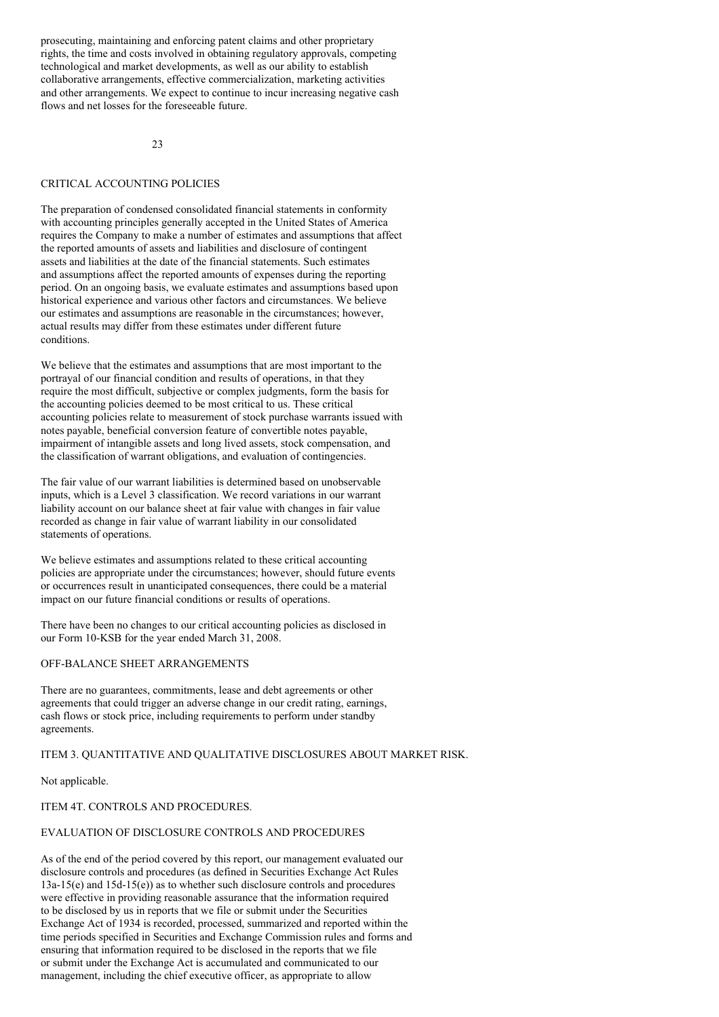prosecuting, maintaining and enforcing patent claims and other proprietary rights, the time and costs involved in obtaining regulatory approvals, competing technological and market developments, as well as our ability to establish collaborative arrangements, effective commercialization, marketing activities and other arrangements. We expect to continue to incur increasing negative cash flows and net losses for the foreseeable future.

 $23$ 

### CRITICAL ACCOUNTING POLICIES

The preparation of condensed consolidated financial statements in conformity with accounting principles generally accepted in the United States of America requires the Company to make a number of estimates and assumptions that affect the reported amounts of assets and liabilities and disclosure of contingent assets and liabilities at the date of the financial statements. Such estimates and assumptions affect the reported amounts of expenses during the reporting period. On an ongoing basis, we evaluate estimates and assumptions based upon historical experience and various other factors and circumstances. We believe our estimates and assumptions are reasonable in the circumstances; however, actual results may differ from these estimates under different future conditions.

We believe that the estimates and assumptions that are most important to the portrayal of our financial condition and results of operations, in that they require the most difficult, subjective or complex judgments, form the basis for the accounting policies deemed to be most critical to us. These critical accounting policies relate to measurement of stock purchase warrants issued with notes payable, beneficial conversion feature of convertible notes payable, impairment of intangible assets and long lived assets, stock compensation, and the classification of warrant obligations, and evaluation of contingencies.

The fair value of our warrant liabilities is determined based on unobservable inputs, which is a Level 3 classification. We record variations in our warrant liability account on our balance sheet at fair value with changes in fair value recorded as change in fair value of warrant liability in our consolidated statements of operations.

We believe estimates and assumptions related to these critical accounting policies are appropriate under the circumstances; however, should future events or occurrences result in unanticipated consequences, there could be a material impact on our future financial conditions or results of operations.

There have been no changes to our critical accounting policies as disclosed in our Form 10-KSB for the year ended March 31, 2008.

## OFF-BALANCE SHEET ARRANGEMENTS

There are no guarantees, commitments, lease and debt agreements or other agreements that could trigger an adverse change in our credit rating, earnings, cash flows or stock price, including requirements to perform under standby agreements.

#### ITEM 3. QUANTITATIVE AND QUALITATIVE DISCLOSURES ABOUT MARKET RISK.

Not applicable.

### ITEM 4T. CONTROLS AND PROCEDURES.

### EVALUATION OF DISCLOSURE CONTROLS AND PROCEDURES

As of the end of the period covered by this report, our management evaluated our disclosure controls and procedures (as defined in Securities Exchange Act Rules 13a-15(e) and 15d-15(e)) as to whether such disclosure controls and procedures were effective in providing reasonable assurance that the information required to be disclosed by us in reports that we file or submit under the Securities Exchange Act of 1934 is recorded, processed, summarized and reported within the time periods specified in Securities and Exchange Commission rules and forms and ensuring that information required to be disclosed in the reports that we file or submit under the Exchange Act is accumulated and communicated to our management, including the chief executive officer, as appropriate to allow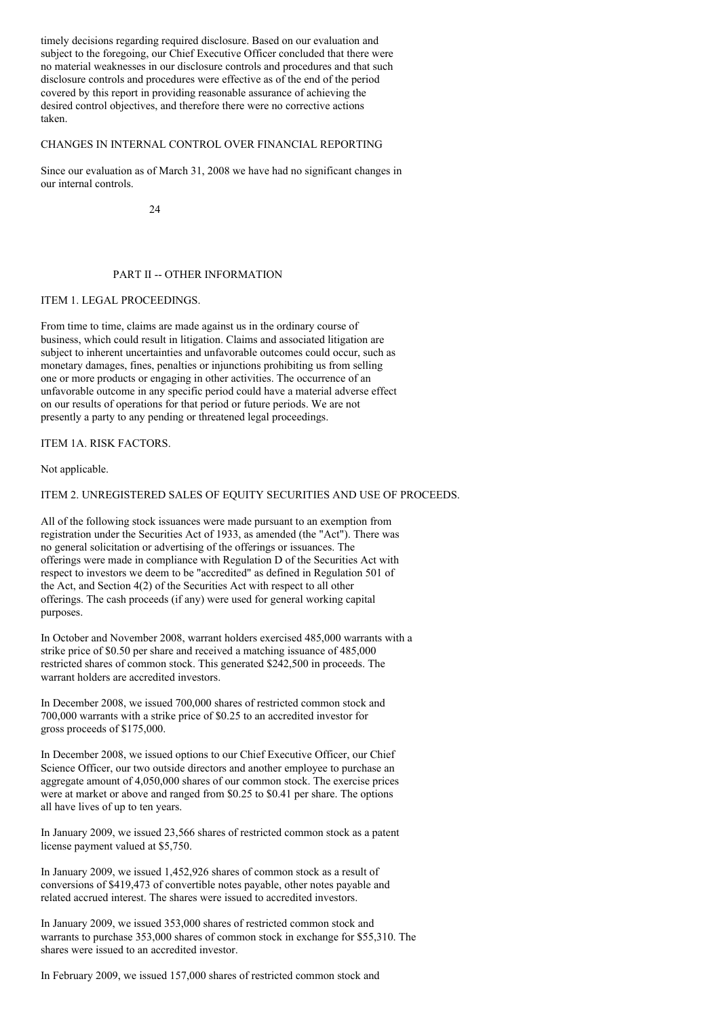timely decisions regarding required disclosure. Based on our evaluation and subject to the foregoing, our Chief Executive Officer concluded that there were no material weaknesses in our disclosure controls and procedures and that such disclosure controls and procedures were effective as of the end of the period covered by this report in providing reasonable assurance of achieving the desired control objectives, and therefore there were no corrective actions taken.

### CHANGES IN INTERNAL CONTROL OVER FINANCIAL REPORTING

Since our evaluation as of March 31, 2008 we have had no significant changes in our internal controls.

 $24$ 

### PART II -- OTHER INFORMATION

# ITEM 1. LEGAL PROCEEDINGS.

From time to time, claims are made against us in the ordinary course of business, which could result in litigation. Claims and associated litigation are subject to inherent uncertainties and unfavorable outcomes could occur, such as monetary damages, fines, penalties or injunctions prohibiting us from selling one or more products or engaging in other activities. The occurrence of an unfavorable outcome in any specific period could have a material adverse effect on our results of operations for that period or future periods. We are not presently a party to any pending or threatened legal proceedings.

ITEM 1A. RISK FACTORS.

Not applicable.

## ITEM 2. UNREGISTERED SALES OF EQUITY SECURITIES AND USE OF PROCEEDS.

All of the following stock issuances were made pursuant to an exemption from registration under the Securities Act of 1933, as amended (the "Act"). There was no general solicitation or advertising of the offerings or issuances. The offerings were made in compliance with Regulation D of the Securities Act with respect to investors we deem to be "accredited" as defined in Regulation 501 of the Act, and Section 4(2) of the Securities Act with respect to all other offerings. The cash proceeds (if any) were used for general working capital purposes.

In October and November 2008, warrant holders exercised 485,000 warrants with a strike price of \$0.50 per share and received a matching issuance of 485,000 restricted shares of common stock. This generated \$242,500 in proceeds. The warrant holders are accredited investors.

In December 2008, we issued 700,000 shares of restricted common stock and 700,000 warrants with a strike price of \$0.25 to an accredited investor for gross proceeds of \$175,000.

In December 2008, we issued options to our Chief Executive Officer, our Chief Science Officer, our two outside directors and another employee to purchase an aggregate amount of 4,050,000 shares of our common stock. The exercise prices were at market or above and ranged from \$0.25 to \$0.41 per share. The options all have lives of up to ten years.

In January 2009, we issued 23,566 shares of restricted common stock as a patent license payment valued at \$5,750.

In January 2009, we issued 1,452,926 shares of common stock as a result of conversions of \$419,473 of convertible notes payable, other notes payable and related accrued interest. The shares were issued to accredited investors.

In January 2009, we issued 353,000 shares of restricted common stock and warrants to purchase 353,000 shares of common stock in exchange for \$55,310. The shares were issued to an accredited investor.

In February 2009, we issued 157,000 shares of restricted common stock and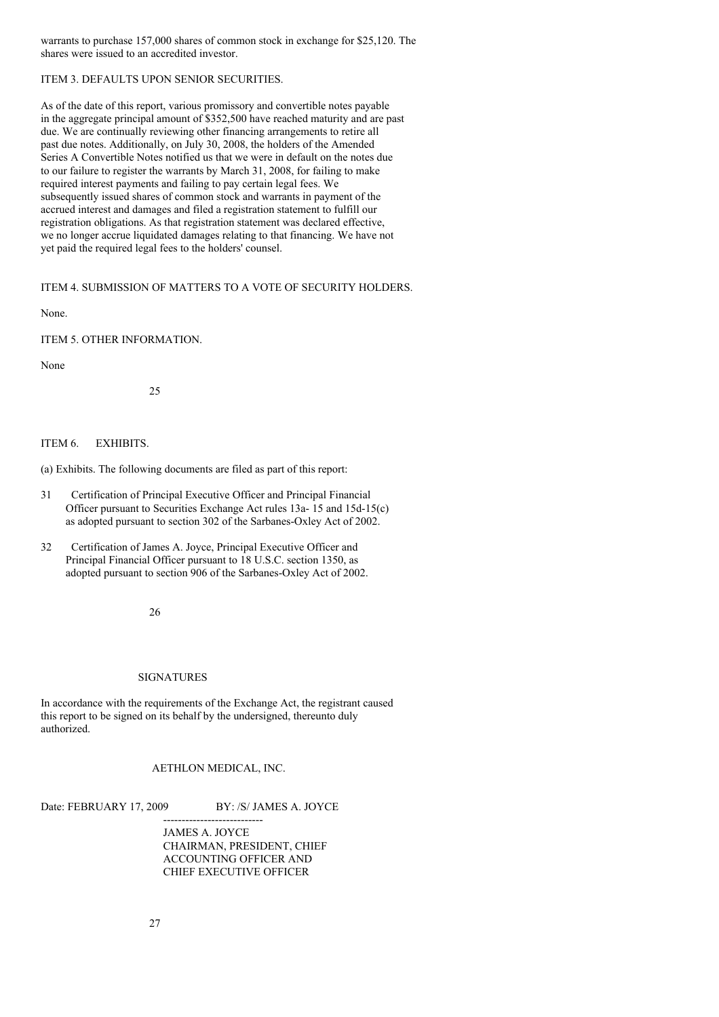warrants to purchase 157,000 shares of common stock in exchange for \$25,120. The shares were issued to an accredited investor.

# ITEM 3. DEFAULTS UPON SENIOR SECURITIES.

As of the date of this report, various promissory and convertible notes payable in the aggregate principal amount of \$352,500 have reached maturity and are past due. We are continually reviewing other financing arrangements to retire all past due notes. Additionally, on July 30, 2008, the holders of the Amended Series A Convertible Notes notified us that we were in default on the notes due to our failure to register the warrants by March 31, 2008, for failing to make required interest payments and failing to pay certain legal fees. We subsequently issued shares of common stock and warrants in payment of the accrued interest and damages and filed a registration statement to fulfill our registration obligations. As that registration statement was declared effective, we no longer accrue liquidated damages relating to that financing. We have not yet paid the required legal fees to the holders' counsel.

ITEM 4. SUBMISSION OF MATTERS TO A VOTE OF SECURITY HOLDERS.

None.

ITEM 5. OTHER INFORMATION.

None

25

### ITEM 6. EXHIBITS.

(a) Exhibits. The following documents are filed as part of this report:

- 31 Certification of Principal Executive Officer and Principal Financial Officer pursuant to Securities Exchange Act rules 13a- 15 and 15d-15(c) as adopted pursuant to section 302 of the Sarbanes-Oxley Act of 2002.
- 32 Certification of James A. Joyce, Principal Executive Officer and Principal Financial Officer pursuant to 18 U.S.C. section 1350, as adopted pursuant to section 906 of the Sarbanes-Oxley Act of 2002.

26

#### SIGNATURES

In accordance with the requirements of the Exchange Act, the registrant caused this report to be signed on its behalf by the undersigned, thereunto duly authorized.

### AETHLON MEDICAL, INC.

---------------------------

Date: FEBRUARY 17, 2009 BY: /S/ JAMES A. JOYCE

JAMES A. JOYCE CHAIRMAN, PRESIDENT, CHIEF ACCOUNTING OFFICER AND CHIEF EXECUTIVE OFFICER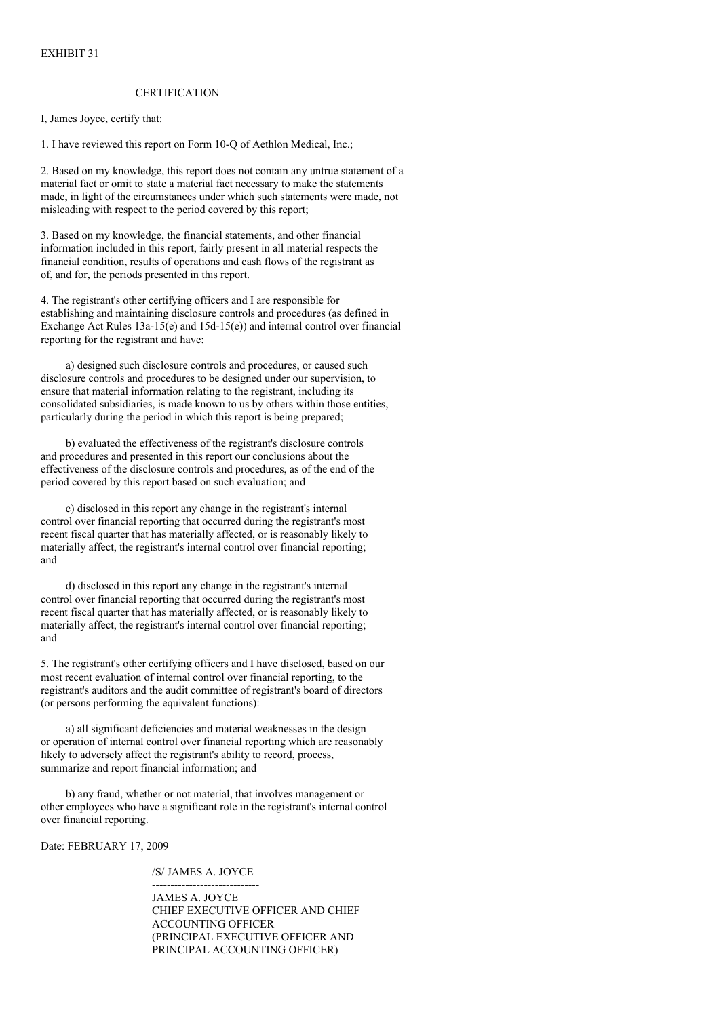### **CERTIFICATION**

I, James Joyce, certify that:

1. I have reviewed this report on Form 10-Q of Aethlon Medical, Inc.;

2. Based on my knowledge, this report does not contain any untrue statement of a material fact or omit to state a material fact necessary to make the statements made, in light of the circumstances under which such statements were made, not misleading with respect to the period covered by this report;

3. Based on my knowledge, the financial statements, and other financial information included in this report, fairly present in all material respects the financial condition, results of operations and cash flows of the registrant as of, and for, the periods presented in this report.

4. The registrant's other certifying officers and I are responsible for establishing and maintaining disclosure controls and procedures (as defined in Exchange Act Rules 13a-15(e) and 15d-15(e)) and internal control over financial reporting for the registrant and have:

a) designed such disclosure controls and procedures, or caused such disclosure controls and procedures to be designed under our supervision, to ensure that material information relating to the registrant, including its consolidated subsidiaries, is made known to us by others within those entities, particularly during the period in which this report is being prepared;

b) evaluated the effectiveness of the registrant's disclosure controls and procedures and presented in this report our conclusions about the effectiveness of the disclosure controls and procedures, as of the end of the period covered by this report based on such evaluation; and

c) disclosed in this report any change in the registrant's internal control over financial reporting that occurred during the registrant's most recent fiscal quarter that has materially affected, or is reasonably likely to materially affect, the registrant's internal control over financial reporting; and

d) disclosed in this report any change in the registrant's internal control over financial reporting that occurred during the registrant's most recent fiscal quarter that has materially affected, or is reasonably likely to materially affect, the registrant's internal control over financial reporting; and

5. The registrant's other certifying officers and I have disclosed, based on our most recent evaluation of internal control over financial reporting, to the registrant's auditors and the audit committee of registrant's board of directors (or persons performing the equivalent functions):

a) all significant deficiencies and material weaknesses in the design or operation of internal control over financial reporting which are reasonably likely to adversely affect the registrant's ability to record, process, summarize and report financial information; and

b) any fraud, whether or not material, that involves management or other employees who have a significant role in the registrant's internal control over financial reporting.

Date: FEBRUARY 17, 2009

/S/ JAMES A. JOYCE

----------------------------- JAMES A. JOYCE CHIEF EXECUTIVE OFFICER AND CHIEF ACCOUNTING OFFICER (PRINCIPAL EXECUTIVE OFFICER AND PRINCIPAL ACCOUNTING OFFICER)